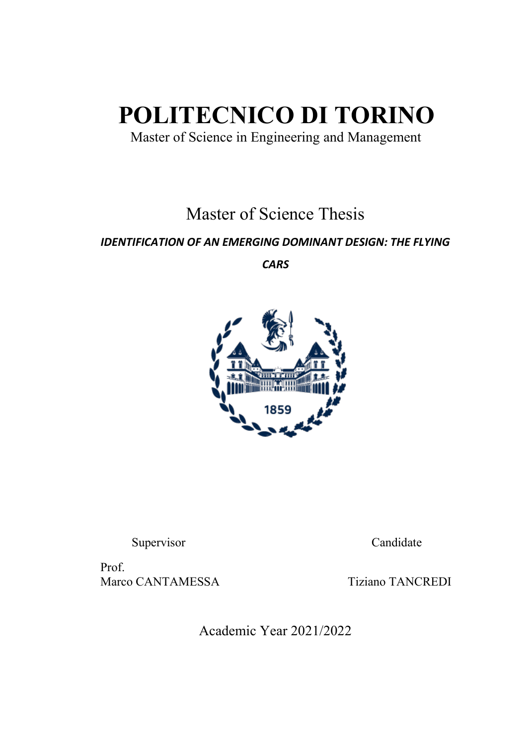# **POLITECNICO DI TORINO**

Master of Science in Engineering and Management

Master of Science Thesis

## *IDENTIFICATION OF AN EMERGING DOMINANT DESIGN: THE FLYING*

*CARS*



Supervisor Candidate

Prof. Marco CANTAMESSA Tiziano TANCREDI

Academic Year 2021/2022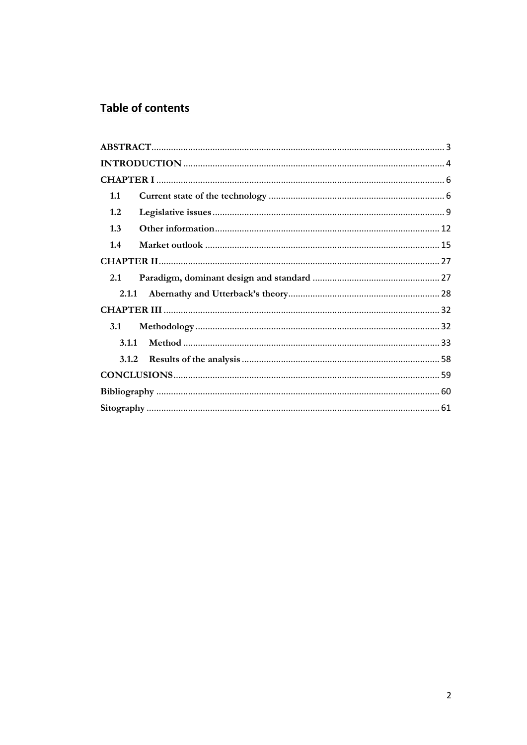## Table of contents

| 1.1        |  |
|------------|--|
| 1.2        |  |
| 1.3        |  |
| 1.4        |  |
|            |  |
| 2.1        |  |
| 2.1.1      |  |
|            |  |
| <b>3.1</b> |  |
| 3.1.1      |  |
| 3.1.2      |  |
|            |  |
|            |  |
|            |  |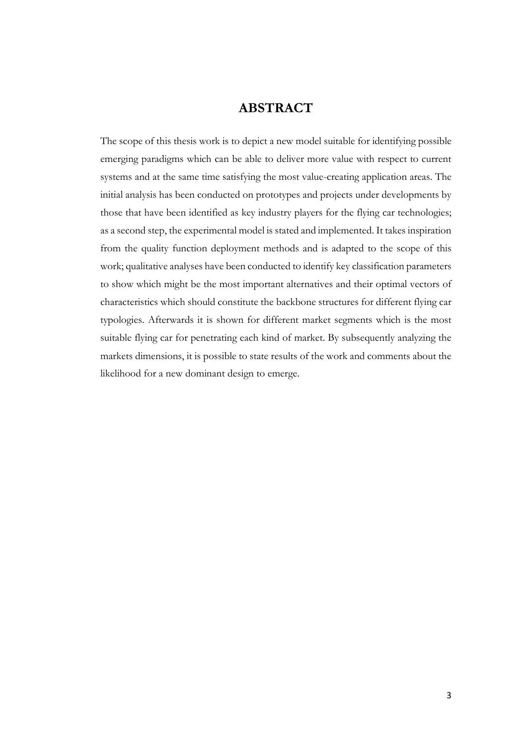## **ABSTRACT**

<span id="page-2-0"></span>The scope of this thesis work is to depict a new model suitable for identifying possible emerging paradigms which can be able to deliver more value with respect to current systems and at the same time satisfying the most value-creating application areas. The initial analysis has been conducted on prototypes and projects under developments by those that have been identified as key industry players for the flying car technologies; as a second step, the experimental model is stated and implemented. It takes inspiration from the quality function deployment methods and is adapted to the scope of this work; qualitative analyses have been conducted to identify key classification parameters to show which might be the most important alternatives and their optimal vectors of characteristics which should constitute the backbone structures for different flying car typologies. Afterwards it is shown for different market segments which is the most suitable flying car for penetrating each kind of market. By subsequently analyzing the markets dimensions, it is possible to state results of the work and comments about the likelihood for a new dominant design to emerge.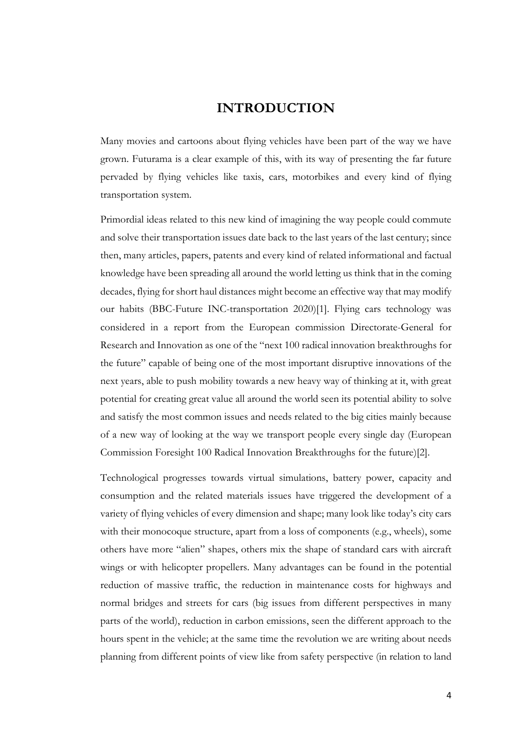## **INTRODUCTION**

<span id="page-3-0"></span>Many movies and cartoons about flying vehicles have been part of the way we have grown. Futurama is a clear example of this, with its way of presenting the far future pervaded by flying vehicles like taxis, cars, motorbikes and every kind of flying transportation system.

Primordial ideas related to this new kind of imagining the way people could commute and solve their transportation issues date back to the last years of the last century; since then, many articles, papers, patents and every kind of related informational and factual knowledge have been spreading all around the world letting us think that in the coming decades, flying for short haul distances might become an effective way that may modify our habits (BBC-Future INC-transportation 2020)[1]. Flying cars technology was considered in a report from the European commission Directorate-General for Research and Innovation as one of the "next 100 radical innovation breakthroughs for the future" capable of being one of the most important disruptive innovations of the next years, able to push mobility towards a new heavy way of thinking at it, with great potential for creating great value all around the world seen its potential ability to solve and satisfy the most common issues and needs related to the big cities mainly because of a new way of looking at the way we transport people every single day (European Commission Foresight 100 Radical Innovation Breakthroughs for the future)[2].

Technological progresses towards virtual simulations, battery power, capacity and consumption and the related materials issues have triggered the development of a variety of flying vehicles of every dimension and shape; many look like today's city cars with their monocoque structure, apart from a loss of components (e.g., wheels), some others have more "alien" shapes, others mix the shape of standard cars with aircraft wings or with helicopter propellers. Many advantages can be found in the potential reduction of massive traffic, the reduction in maintenance costs for highways and normal bridges and streets for cars (big issues from different perspectives in many parts of the world), reduction in carbon emissions, seen the different approach to the hours spent in the vehicle; at the same time the revolution we are writing about needs planning from different points of view like from safety perspective (in relation to land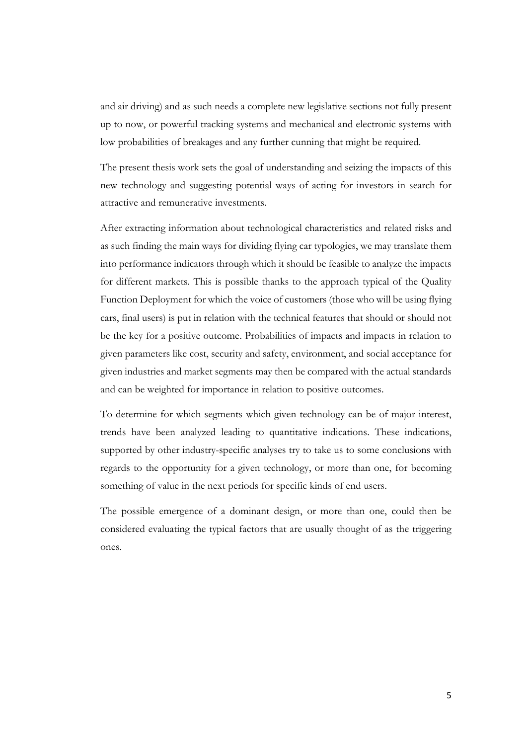and air driving) and as such needs a complete new legislative sections not fully present up to now, or powerful tracking systems and mechanical and electronic systems with low probabilities of breakages and any further cunning that might be required.

The present thesis work sets the goal of understanding and seizing the impacts of this new technology and suggesting potential ways of acting for investors in search for attractive and remunerative investments.

After extracting information about technological characteristics and related risks and as such finding the main ways for dividing flying car typologies, we may translate them into performance indicators through which it should be feasible to analyze the impacts for different markets. This is possible thanks to the approach typical of the Quality Function Deployment for which the voice of customers (those who will be using flying cars, final users) is put in relation with the technical features that should or should not be the key for a positive outcome. Probabilities of impacts and impacts in relation to given parameters like cost, security and safety, environment, and social acceptance for given industries and market segments may then be compared with the actual standards and can be weighted for importance in relation to positive outcomes.

To determine for which segments which given technology can be of major interest, trends have been analyzed leading to quantitative indications. These indications, supported by other industry-specific analyses try to take us to some conclusions with regards to the opportunity for a given technology, or more than one, for becoming something of value in the next periods for specific kinds of end users.

The possible emergence of a dominant design, or more than one, could then be considered evaluating the typical factors that are usually thought of as the triggering ones.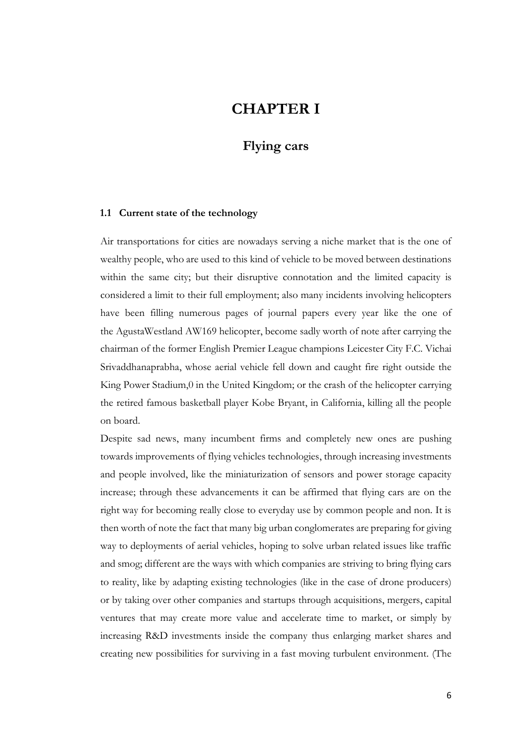## **CHAPTER I**

## **Flying cars**

#### <span id="page-5-1"></span><span id="page-5-0"></span>**1.1 Current state of the technology**

Air transportations for cities are nowadays serving a niche market that is the one of wealthy people, who are used to this kind of vehicle to be moved between destinations within the same city; but their disruptive connotation and the limited capacity is considered a limit to their full employment; also many incidents involving helicopters have been filling numerous pages of journal papers every year like the one of the AgustaWestland AW169 helicopter, become sadly worth of note after carrying the chairman of the former English Premier League champions Leicester City F.C. Vichai Srivaddhanaprabha, whose aerial vehicle fell down and caught fire right outside the King Power Stadium,0 in the United Kingdom; or the crash of the helicopter carrying the retired famous basketball player Kobe Bryant, in California, killing all the people on board.

Despite sad news, many incumbent firms and completely new ones are pushing towards improvements of flying vehicles technologies, through increasing investments and people involved, like the miniaturization of sensors and power storage capacity increase; through these advancements it can be affirmed that flying cars are on the right way for becoming really close to everyday use by common people and non. It is then worth of note the fact that many big urban conglomerates are preparing for giving way to deployments of aerial vehicles, hoping to solve urban related issues like traffic and smog; different are the ways with which companies are striving to bring flying cars to reality, like by adapting existing technologies (like in the case of drone producers) or by taking over other companies and startups through acquisitions, mergers, capital ventures that may create more value and accelerate time to market, or simply by increasing R&D investments inside the company thus enlarging market shares and creating new possibilities for surviving in a fast moving turbulent environment. [\(The](https://spectrum.ieee.org/cars-that-think/aerospace/aviation/flyingcar-company-terrafugia-isbought-by-chinas-geely;https:/www.theverge.com/2017/11/13/16643342/volvo-geely-terrafugiaflying-car-acquisition)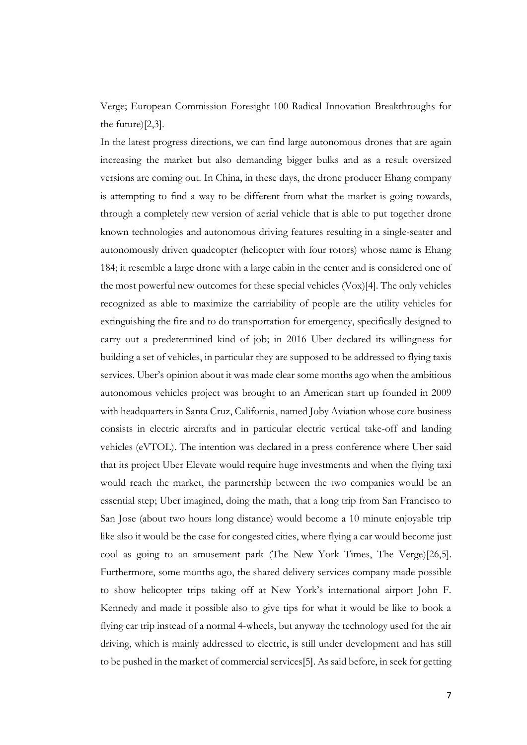Verge; European Commission Foresight 100 Radical Innovation Breakthroughs for the future)[2,3].

In the latest progress directions, we can find large autonomous drones that are again increasing the market but also demanding bigger bulks and as a result oversized versions are coming out. In China, in these days, the drone producer Ehang company is attempting to find a way to be different from what the market is going towards, through a completely new version of aerial vehicle that is able to put together drone known technologies and autonomous driving features resulting in a single-seater and autonomously driven quadcopter (helicopter with four rotors) whose name is Ehang 184; it resemble a large drone with a large cabin in the center and is considered one of the most powerful new outcomes for these special vehicles [\(Vox\)\[4\]](https://www.vox.com/2016/1/6/11588556/a-chinese-dronemaker-built-a-one-seat-self-driving-flying-vehicle)%5b4). The only vehicles recognized as able to maximize the carriability of people are the utility vehicles for extinguishing the fire and to do transportation for emergency, specifically designed to carry out a predetermined kind of job; in 2016 Uber declared its willingness for building a set of vehicles, in particular they are supposed to be addressed to flying taxis services. Uber's opinion about it was made clear some months ago when the ambitious autonomous vehicles project was brought to an American start up founded in 2009 with headquarters in Santa Cruz, California, named Joby Aviation whose core business consists in electric aircrafts and in particular electric vertical take-off and landing vehicles (eVTOL). The intention was declared in a press conference where Uber said that its project Uber Elevate would require huge investments and when the flying taxi would reach the market, the partnership between the two companies would be an essential step; Uber imagined, doing the math, that a long trip from San Francisco to San Jose (about two hours long distance) would become a 10 minute enjoyable trip like also it would be the case for congested cities, where flying a car would become just cool as going to an amusement park (The New York Times, The Verge)[26,5]. Furthermore, some months ago, the shared delivery services company made possible to show helicopter trips taking off at New York's international airport John F. Kennedy and made it possible also to give tips for what it would be like to book a flying car trip instead of a normal 4-wheels, but anyway the technology used for the air driving, which is mainly addressed to electric, is still under development and has still to be pushed in the market of commercial services[5]. As said before, in seek for getting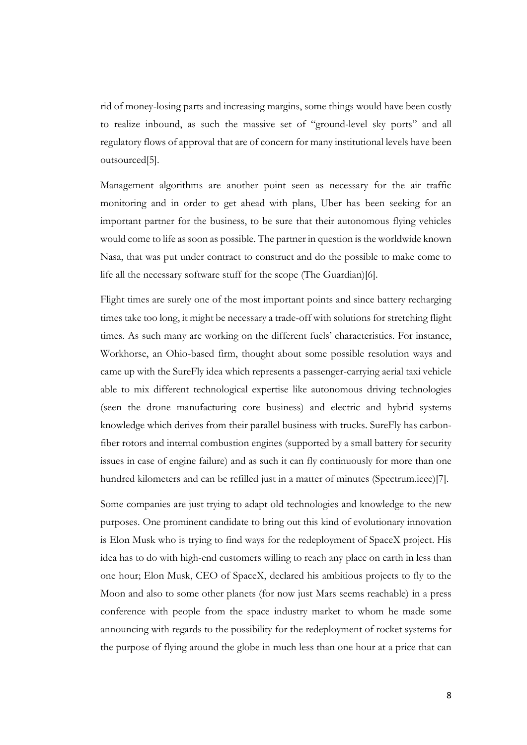rid of money-losing parts and increasing margins, some things would have been costly to realize inbound, as such the massive set of "ground-level sky ports" and all regulatory flows of approval that are of concern for many institutional levels have been outsourced[5].

Management algorithms are another point seen as necessary for the air traffic monitoring and in order to get ahead with plans, Uber has been seeking for an important partner for the business, to be sure that their autonomous flying vehicles would come to life as soon as possible. The partner in question is the worldwide known Nasa, that was put under contract to construct and do the possible to make come to life all the necessary software stuff for the scope (The Guardian)[6].

Flight times are surely one of the most important points and since battery recharging times take too long, it might be necessary a trade-off with solutions for stretching flight times. As such many are working on the different fuels' characteristics. For instance, Workhorse, an Ohio-based firm, thought about some possible resolution ways and came up with the SureFly idea which represents a passenger-carrying aerial taxi vehicle able to mix different technological expertise like autonomous driving technologies (seen the drone manufacturing core business) and electric and hybrid systems knowledge which derives from their parallel business with trucks. SureFly has carbonfiber rotors and internal combustion engines (supported by a small battery for security issues in case of engine failure) and as such it can fly continuously for more than one hundred kilometers and can be refilled just in a matter of minutes (Spectrum.ieee)[7].

Some companies are just trying to adapt old technologies and knowledge to the new purposes. One prominent candidate to bring out this kind of evolutionary innovation is Elon Musk who is trying to find ways for the redeployment of SpaceX project. His idea has to do with high-end customers willing to reach any place on earth in less than one hour; Elon Musk, CEO of SpaceX, declared his ambitious projects to fly to the Moon and also to some other planets (for now just Mars seems reachable) in a press conference with people from the space industry market to whom he made some announcing with regards to the possibility for the redeployment of rocket systems for the purpose of flying around the globe in much less than one hour at a price that can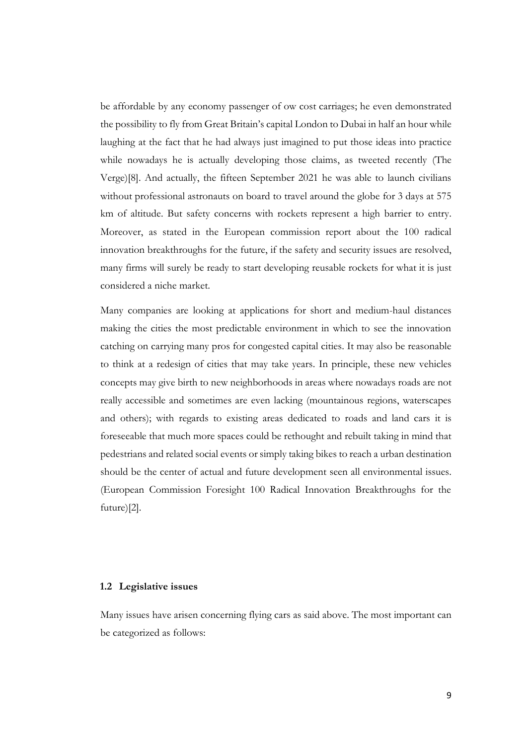be affordable by any economy passenger of ow cost carriages; he even demonstrated the possibility to fly from Great Britain's capital London to Dubai in half an hour while laughing at the fact that he had always just imagined to put those ideas into practice while nowadays he is actually developing those claims, as tweeted recently (The Verge)[8]. And actually, the fifteen September 2021 he was able to launch civilians without professional astronauts on board to travel around the globe for 3 days at 575 km of altitude. But safety concerns with rockets represent a high barrier to entry. Moreover, as stated in the European commission report about the 100 radical innovation breakthroughs for the future, if the safety and security issues are resolved, many firms will surely be ready to start developing reusable rockets for what it is just considered a niche market.

Many companies are looking at applications for short and medium-haul distances making the cities the most predictable environment in which to see the innovation catching on carrying many pros for congested capital cities. It may also be reasonable to think at a redesign of cities that may take years. In principle, these new vehicles concepts may give birth to new neighborhoods in areas where nowadays roads are not really accessible and sometimes are even lacking (mountainous regions, waterscapes and others); with regards to existing areas dedicated to roads and land cars it is foreseeable that much more spaces could be rethought and rebuilt taking in mind that pedestrians and related social events or simply taking bikes to reach a urban destination should be the center of actual and future development seen all environmental issues. (European Commission Foresight 100 Radical Innovation Breakthroughs for the future)[2].

#### <span id="page-8-0"></span>**1.2 Legislative issues**

Many issues have arisen concerning flying cars as said above. The most important can be categorized as follows: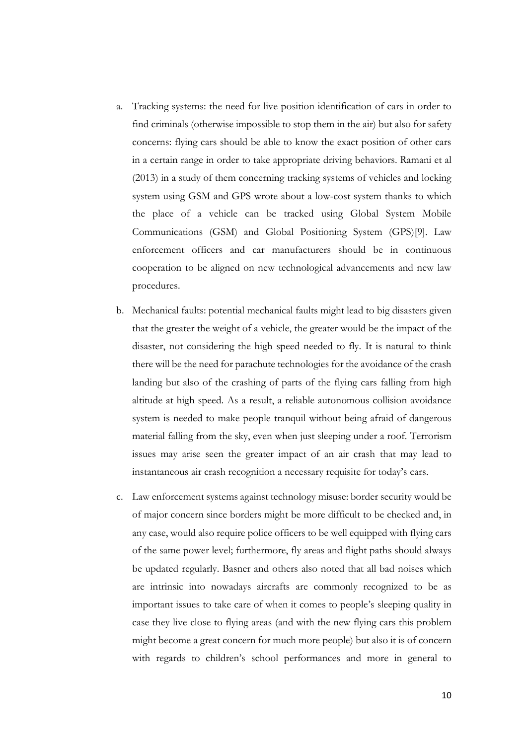- a. Tracking systems: the need for live position identification of cars in order to find criminals (otherwise impossible to stop them in the air) but also for safety concerns: flying cars should be able to know the exact position of other cars in a certain range in order to take appropriate driving behaviors. Ramani et al (2013) in a study of them concerning tracking systems of vehicles and locking system using GSM and GPS wrote about a low-cost system thanks to which the place of a vehicle can be tracked using Global System Mobile Communications (GSM) and Global Positioning System (GPS)[9]. Law enforcement officers and car manufacturers should be in continuous cooperation to be aligned on new technological advancements and new law procedures.
- b. Mechanical faults: potential mechanical faults might lead to big disasters given that the greater the weight of a vehicle, the greater would be the impact of the disaster, not considering the high speed needed to fly. It is natural to think there will be the need for parachute technologies for the avoidance of the crash landing but also of the crashing of parts of the flying cars falling from high altitude at high speed. As a result, a reliable autonomous collision avoidance system is needed to make people tranquil without being afraid of dangerous material falling from the sky, even when just sleeping under a roof. Terrorism issues may arise seen the greater impact of an air crash that may lead to instantaneous air crash recognition a necessary requisite for today's cars.
- c. Law enforcement systems against technology misuse: border security would be of major concern since borders might be more difficult to be checked and, in any case, would also require police officers to be well equipped with flying cars of the same power level; furthermore, fly areas and flight paths should always be updated regularly. Basner and others also noted that all bad noises which are intrinsic into nowadays aircrafts are commonly recognized to be as important issues to take care of when it comes to people's sleeping quality in case they live close to flying areas (and with the new flying cars this problem might become a great concern for much more people) but also it is of concern with regards to children's school performances and more in general to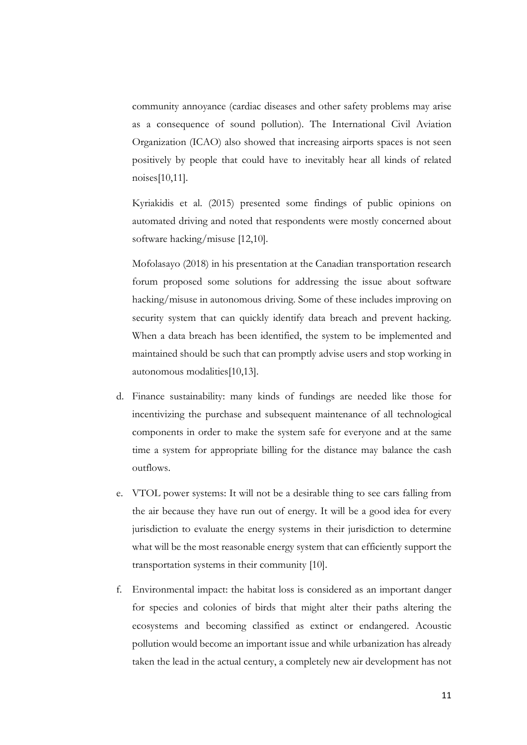community annoyance (cardiac diseases and other safety problems may arise as a consequence of sound pollution). The International Civil Aviation Organization (ICAO) also showed that increasing airports spaces is not seen positively by people that could have to inevitably hear all kinds of related noises[10,11].

Kyriakidis et al. (2015) presented some findings of public opinions on automated driving and noted that respondents were mostly concerned about software hacking/misuse [12,10].

Mofolasayo (2018) in his presentation at the Canadian transportation research forum proposed some solutions for addressing the issue about software hacking/misuse in autonomous driving. Some of these includes improving on security system that can quickly identify data breach and prevent hacking. When a data breach has been identified, the system to be implemented and maintained should be such that can promptly advise users and stop working in autonomous modalities[10,13].

- d. Finance sustainability: many kinds of fundings are needed like those for incentivizing the purchase and subsequent maintenance of all technological components in order to make the system safe for everyone and at the same time a system for appropriate billing for the distance may balance the cash outflows.
- e. VTOL power systems: It will not be a desirable thing to see cars falling from the air because they have run out of energy. It will be a good idea for every jurisdiction to evaluate the energy systems in their jurisdiction to determine what will be the most reasonable energy system that can efficiently support the transportation systems in their community [10].
- f. Environmental impact: the habitat loss is considered as an important danger for species and colonies of birds that might alter their paths altering the ecosystems and becoming classified as extinct or endangered. Acoustic pollution would become an important issue and while urbanization has already taken the lead in the actual century, a completely new air development has not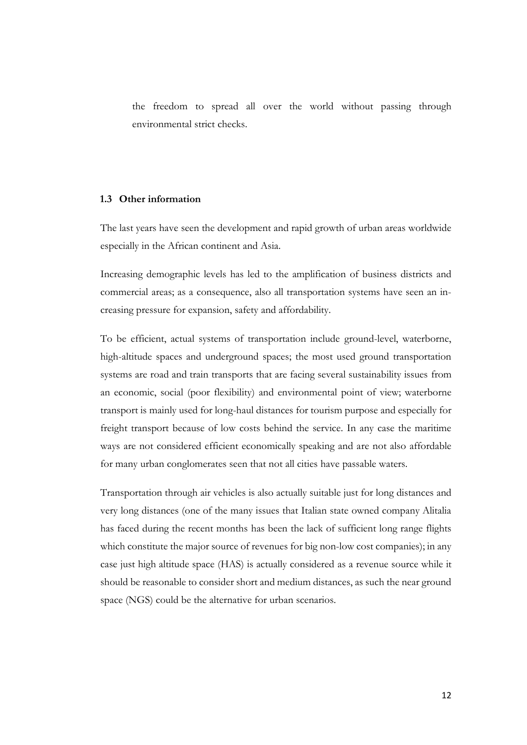the freedom to spread all over the world without passing through environmental strict checks.

#### <span id="page-11-0"></span>**1.3 Other information**

The last years have seen the development and rapid growth of urban areas worldwide especially in the African continent and Asia.

Increasing demographic levels has led to the amplification of business districts and commercial areas; as a consequence, also all transportation systems have seen an increasing pressure for expansion, safety and affordability.

To be efficient, actual systems of transportation include ground-level, waterborne, high-altitude spaces and underground spaces; the most used ground transportation systems are road and train transports that are facing several sustainability issues from an economic, social (poor flexibility) and environmental point of view; waterborne transport is mainly used for long-haul distances for tourism purpose and especially for freight transport because of low costs behind the service. In any case the maritime ways are not considered efficient economically speaking and are not also affordable for many urban conglomerates seen that not all cities have passable waters.

Transportation through air vehicles is also actually suitable just for long distances and very long distances (one of the many issues that Italian state owned company Alitalia has faced during the recent months has been the lack of sufficient long range flights which constitute the major source of revenues for big non-low cost companies); in any case just high altitude space (HAS) is actually considered as a revenue source while it should be reasonable to consider short and medium distances, as such the near ground space (NGS) could be the alternative for urban scenarios.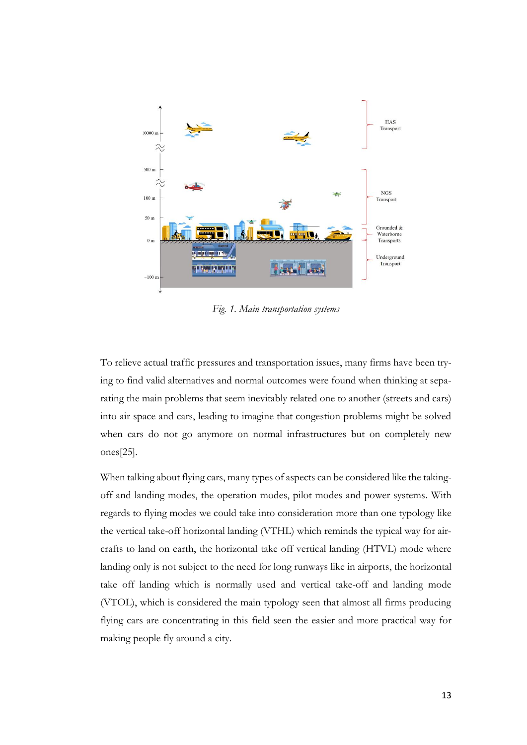

*Fig. 1. Main transportation systems*

To relieve actual traffic pressures and transportation issues, many firms have been trying to find valid alternatives and normal outcomes were found when thinking at separating the main problems that seem inevitably related one to another (streets and cars) into air space and cars, leading to imagine that congestion problems might be solved when cars do not go anymore on normal infrastructures but on completely new ones[25].

When talking about flying cars, many types of aspects can be considered like the takingoff and landing modes, the operation modes, pilot modes and power systems. With regards to flying modes we could take into consideration more than one typology like the vertical take-off horizontal landing (VTHL) which reminds the typical way for aircrafts to land on earth, the horizontal take off vertical landing (HTVL) mode where landing only is not subject to the need for long runways like in airports, the horizontal take off landing which is normally used and vertical take-off and landing mode (VTOL), which is considered the main typology seen that almost all firms producing flying cars are concentrating in this field seen the easier and more practical way for making people fly around a city.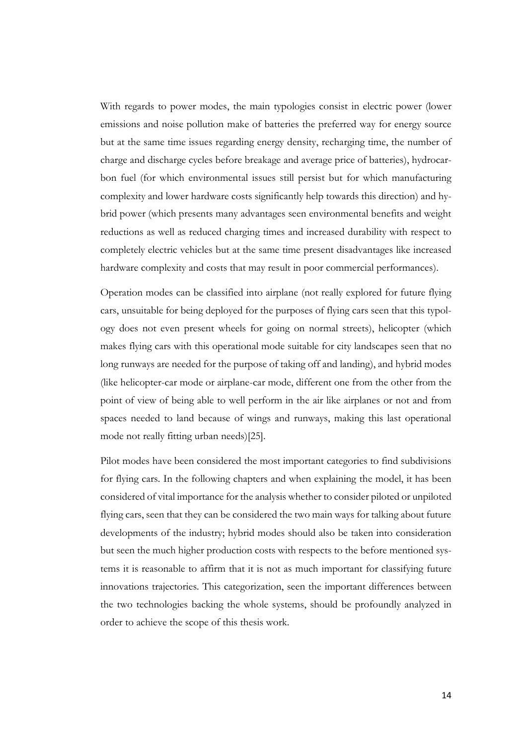With regards to power modes, the main typologies consist in electric power (lower emissions and noise pollution make of batteries the preferred way for energy source but at the same time issues regarding energy density, recharging time, the number of charge and discharge cycles before breakage and average price of batteries), hydrocarbon fuel (for which environmental issues still persist but for which manufacturing complexity and lower hardware costs significantly help towards this direction) and hybrid power (which presents many advantages seen environmental benefits and weight reductions as well as reduced charging times and increased durability with respect to completely electric vehicles but at the same time present disadvantages like increased hardware complexity and costs that may result in poor commercial performances).

Operation modes can be classified into airplane (not really explored for future flying cars, unsuitable for being deployed for the purposes of flying cars seen that this typology does not even present wheels for going on normal streets), helicopter (which makes flying cars with this operational mode suitable for city landscapes seen that no long runways are needed for the purpose of taking off and landing), and hybrid modes (like helicopter-car mode or airplane-car mode, different one from the other from the point of view of being able to well perform in the air like airplanes or not and from spaces needed to land because of wings and runways, making this last operational mode not really fitting urban needs)[25].

Pilot modes have been considered the most important categories to find subdivisions for flying cars. In the following chapters and when explaining the model, it has been considered of vital importance for the analysis whether to consider piloted or unpiloted flying cars, seen that they can be considered the two main ways for talking about future developments of the industry; hybrid modes should also be taken into consideration but seen the much higher production costs with respects to the before mentioned systems it is reasonable to affirm that it is not as much important for classifying future innovations trajectories. This categorization, seen the important differences between the two technologies backing the whole systems, should be profoundly analyzed in order to achieve the scope of this thesis work.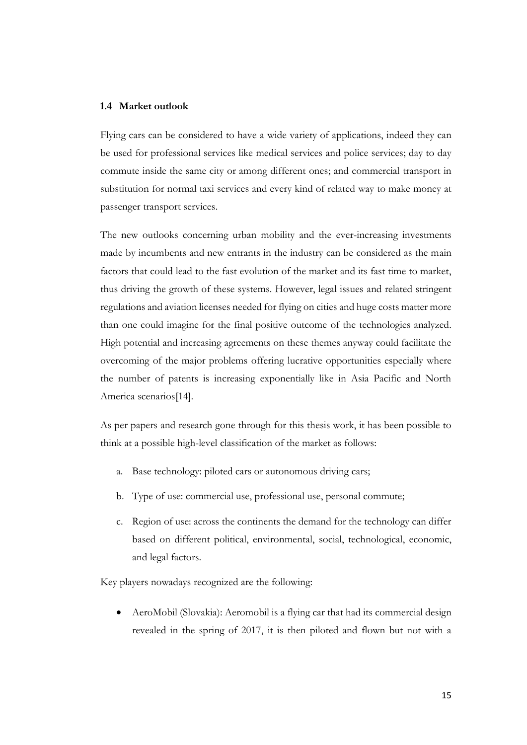#### <span id="page-14-0"></span>**1.4 Market outlook**

Flying cars can be considered to have a wide variety of applications, indeed they can be used for professional services like medical services and police services; day to day commute inside the same city or among different ones; and commercial transport in substitution for normal taxi services and every kind of related way to make money at passenger transport services.

The new outlooks concerning urban mobility and the ever-increasing investments made by incumbents and new entrants in the industry can be considered as the main factors that could lead to the fast evolution of the market and its fast time to market, thus driving the growth of these systems. However, legal issues and related stringent regulations and aviation licenses needed for flying on cities and huge costs matter more than one could imagine for the final positive outcome of the technologies analyzed. High potential and increasing agreements on these themes anyway could facilitate the overcoming of the major problems offering lucrative opportunities especially where the number of patents is increasing exponentially like in Asia Pacific and North America scenarios[14].

As per papers and research gone through for this thesis work, it has been possible to think at a possible high-level classification of the market as follows:

- a. Base technology: piloted cars or autonomous driving cars;
- b. Type of use: commercial use, professional use, personal commute;
- c. Region of use: across the continents the demand for the technology can differ based on different political, environmental, social, technological, economic, and legal factors.

Key players nowadays recognized are the following:

• AeroMobil (Slovakia): Aeromobil is a flying car that had its commercial design revealed in the spring of 2017, it is then piloted and flown but not with a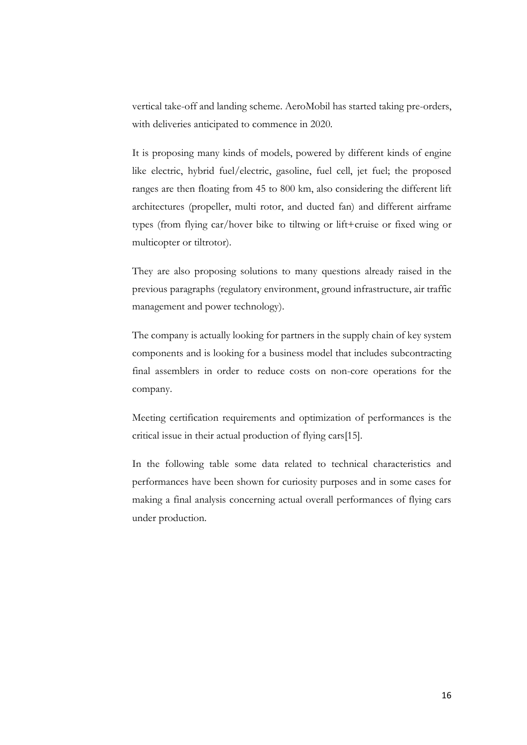vertical take-off and landing scheme. AeroMobil has started taking pre-orders, with deliveries anticipated to commence in 2020.

It is proposing many kinds of models, powered by different kinds of engine like electric, hybrid fuel/electric, gasoline, fuel cell, jet fuel; the proposed ranges are then floating from 45 to 800 km, also considering the different lift architectures (propeller, multi rotor, and ducted fan) and different airframe types (from flying car/hover bike to tiltwing or lift+cruise or fixed wing or multicopter or tiltrotor).

They are also proposing solutions to many questions already raised in the previous paragraphs (regulatory environment, ground infrastructure, air traffic management and power technology).

The company is actually looking for partners in the supply chain of key system components and is looking for a business model that includes subcontracting final assemblers in order to reduce costs on non-core operations for the company.

Meeting certification requirements and optimization of performances is the critical issue in their actual production of flying cars[15].

In the following table some data related to technical characteristics and performances have been shown for curiosity purposes and in some cases for making a final analysis concerning actual overall performances of flying cars under production.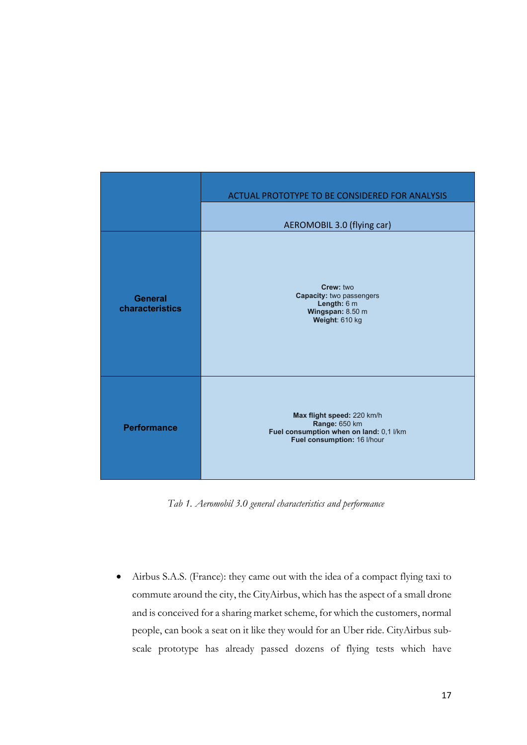|                                   | ACTUAL PROTOTYPE TO BE CONSIDERED FOR ANALYSIS                                                                        |
|-----------------------------------|-----------------------------------------------------------------------------------------------------------------------|
|                                   | AEROMOBIL 3.0 (flying car)                                                                                            |
| <b>General</b><br>characteristics | Crew: two<br><b>Capacity: two passengers</b><br>Length: 6 m<br>Wingspan: 8.50 m<br>Weight: 610 kg                     |
| <b>Performance</b>                | Max flight speed: 220 km/h<br>Range: 650 km<br>Fuel consumption when on land: 0,1 l/km<br>Fuel consumption: 16 l/hour |

*Tab 1. Aeromobil 3.0 general characteristics and performance*

• Airbus S.A.S. (France): they came out with the idea of a compact flying taxi to commute around the city, the CityAirbus, which has the aspect of a small drone and is conceived for a sharing market scheme, for which the customers, normal people, can book a seat on it like they would for an Uber ride. CityAirbus subscale prototype has already passed dozens of flying tests which have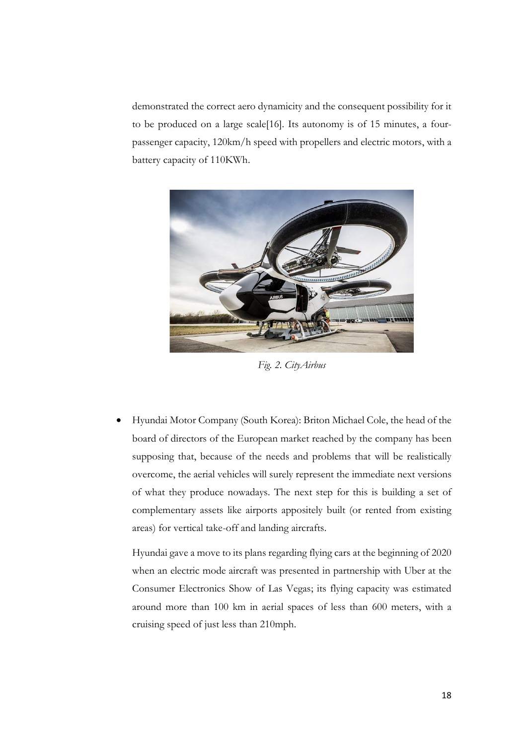demonstrated the correct aero dynamicity and the consequent possibility for it to be produced on a large scale[16]. Its autonomy is of 15 minutes, a fourpassenger capacity, 120km/h speed with propellers and electric motors, with a battery capacity of 110KWh.



*Fig. 2. CityAirbus*

• Hyundai Motor Company (South Korea): Briton Michael Cole, the head of the board of directors of the European market reached by the company has been supposing that, because of the needs and problems that will be realistically overcome, the aerial vehicles will surely represent the immediate next versions of what they produce nowadays. The next step for this is building a set of complementary assets like airports appositely built (or rented from existing areas) for vertical take-off and landing aircrafts.

Hyundai gave a move to its plans regarding flying cars at the beginning of 2020 when an electric mode aircraft was presented in partnership with Uber at the Consumer Electronics Show of Las Vegas; its flying capacity was estimated around more than 100 km in aerial spaces of less than 600 meters, with a cruising speed of just less than 210mph.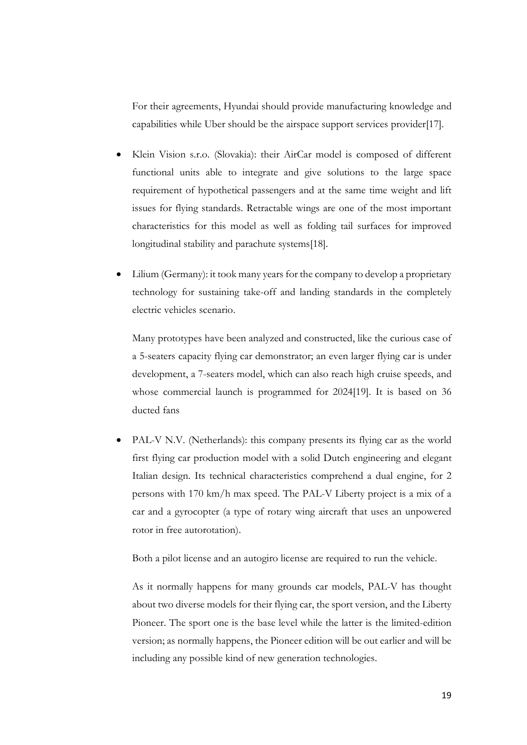For their agreements, Hyundai should provide manufacturing knowledge and capabilities while Uber should be the airspace support services provider[17].

- Klein Vision s.r.o. (Slovakia): their AirCar model is composed of different functional units able to integrate and give solutions to the large space requirement of hypothetical passengers and at the same time weight and lift issues for flying standards. Retractable wings are one of the most important characteristics for this model as well as folding tail surfaces for improved longitudinal stability and parachute systems[18].
- Lilium (Germany): it took many years for the company to develop a proprietary technology for sustaining take-off and landing standards in the completely electric vehicles scenario.

Many prototypes have been analyzed and constructed, like the curious case of a 5-seaters capacity flying car demonstrator; an even larger flying car is under development, a 7-seaters model, which can also reach high cruise speeds, and whose commercial launch is programmed for 2024[19]. It is based on 36 ducted fans

• PAL-V N.V. (Netherlands): this company presents its flying car as the world first flying car production model with a solid Dutch engineering and elegant Italian design. Its technical characteristics comprehend a dual engine, for 2 persons with 170 km/h max speed. The PAL-V Liberty project is a mix of a car and a gyrocopter (a type of rotary wing aircraft that uses an unpowered rotor in free autorotation).

Both a pilot license and an autogiro license are required to run the vehicle.

As it normally happens for many grounds car models, PAL-V has thought about two diverse models for their flying car, the sport version, and the Liberty Pioneer. The sport one is the base level while the latter is the limited-edition version; as normally happens, the Pioneer edition will be out earlier and will be including any possible kind of new generation technologies.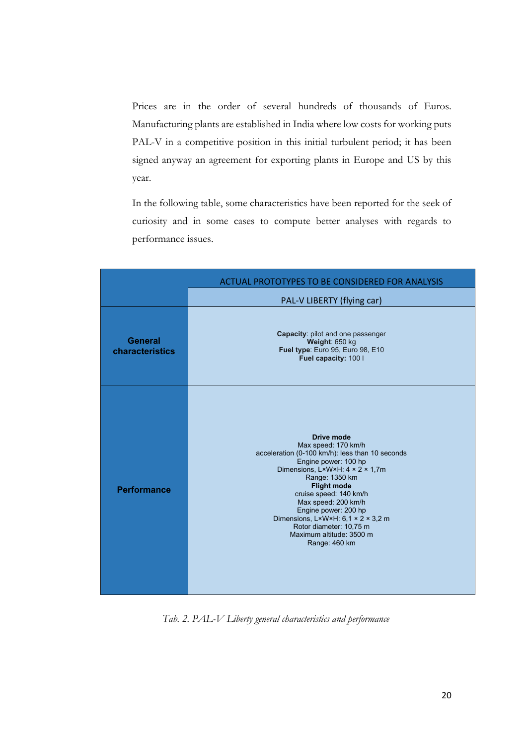Prices are in the order of several hundreds of thousands of Euros. Manufacturing plants are established in India where low costs for working puts PAL-V in a competitive position in this initial turbulent period; it has been signed anyway an agreement for exporting plants in Europe and US by this year.

In the following table, some characteristics have been reported for the seek of curiosity and in some cases to compute better analyses with regards to performance issues.

|                            | <b>ACTUAL PROTOTYPES TO BE CONSIDERED FOR ANALYSIS</b>                                                                                                                                                                                                                                                                                                                                                        |  |  |
|----------------------------|---------------------------------------------------------------------------------------------------------------------------------------------------------------------------------------------------------------------------------------------------------------------------------------------------------------------------------------------------------------------------------------------------------------|--|--|
|                            | PAL-V LIBERTY (flying car)                                                                                                                                                                                                                                                                                                                                                                                    |  |  |
| General<br>characteristics | <b>Capacity: pilot and one passenger</b><br>Weight: 650 kg<br>Fuel type: Euro 95, Euro 98, E10<br>Fuel capacity: 100 l                                                                                                                                                                                                                                                                                        |  |  |
| <b>Performance</b>         | Drive mode<br>Max speed: 170 km/h<br>acceleration (0-100 km/h): less than 10 seconds<br>Engine power: 100 hp<br>Dimensions, L×W×H: 4 × 2 × 1,7m<br>Range: 1350 km<br><b>Flight mode</b><br>cruise speed: 140 km/h<br>Max speed: 200 km/h<br>Engine power: 200 hp<br>Dimensions, $L \times W \times H$ : 6,1 $\times$ 2 $\times$ 3,2 m<br>Rotor diameter: 10,75 m<br>Maximum altitude: 3500 m<br>Range: 460 km |  |  |

*Tab. 2. PAL-V Liberty general characteristics and performance*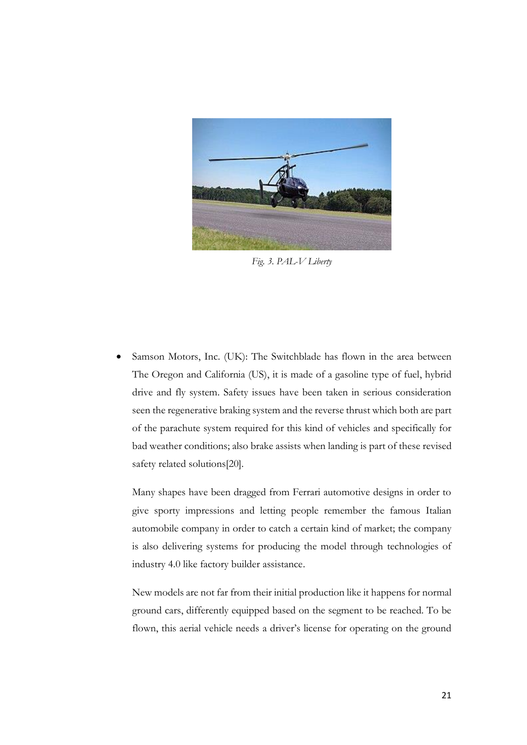

*Fig. 3. PAL-V Liberty*

Samson Motors, Inc. (UK): The Switchblade has flown in the area between The Oregon and California (US), it is made of a gasoline type of fuel, hybrid drive and fly system. Safety issues have been taken in serious consideration seen the regenerative braking system and the reverse thrust which both are part of the parachute system required for this kind of vehicles and specifically for bad weather conditions; also brake assists when landing is part of these revised safety related solutions[20].

Many shapes have been dragged from Ferrari automotive designs in order to give sporty impressions and letting people remember the famous Italian automobile company in order to catch a certain kind of market; the company is also delivering systems for producing the model through technologies of industry 4.0 like factory builder assistance.

New models are not far from their initial production like it happens for normal ground cars, differently equipped based on the segment to be reached. To be flown, this aerial vehicle needs a driver's license for operating on the ground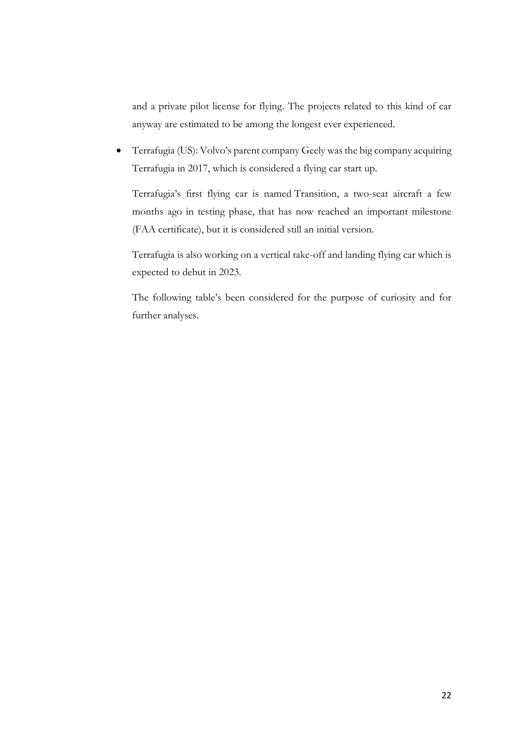and a private pilot license for flying. The projects related to this kind of car anyway are estimated to be among the longest ever experienced.

• Terrafugia (US): Volvo's parent company Geely was the big company acquiring Terrafugia in 2017, which is considered a flying car start up.

Terrafugia's first flying car is named Transition, a two-seat aircraft a few months ago in testing phase, that has now reached an important milestone (FAA certificate), but it is considered still an initial version.

Terrafugia is also working on a vertical take-off and landing flying car which is expected to debut in 2023.

The following table's been considered for the purpose of curiosity and for further analyses.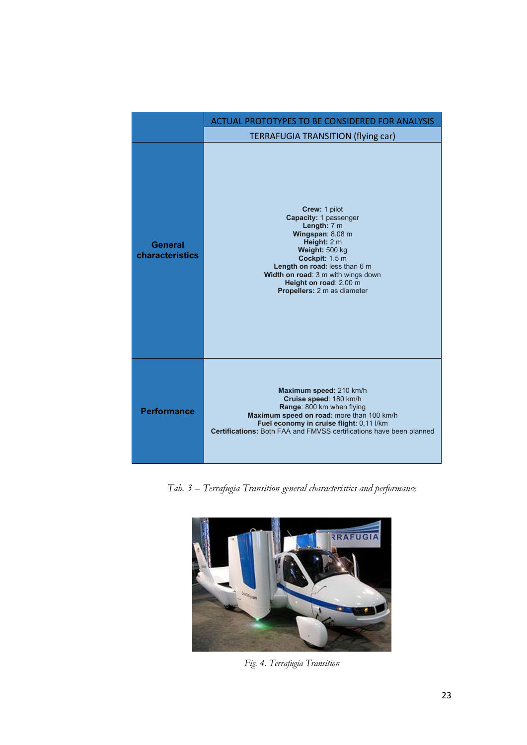|                            | ACTUAL PROTOTYPES TO BE CONSIDERED FOR ANALYSIS                                                                                                                                                                                                                     |  |  |
|----------------------------|---------------------------------------------------------------------------------------------------------------------------------------------------------------------------------------------------------------------------------------------------------------------|--|--|
|                            | <b>TERRAFUGIA TRANSITION (flying car)</b>                                                                                                                                                                                                                           |  |  |
| General<br>characteristics | Crew: 1 pilot<br>Capacity: 1 passenger<br>Length: 7 m<br>Wingspan: 8.08 m<br>Height: 2 m<br>Weight: 500 kg<br>Cockpit: 1.5 m<br>Length on road: less than 6 m<br>Width on road: 3 m with wings down<br>Height on road: 2.00 m<br><b>Propellers:</b> 2 m as diameter |  |  |
| <b>Performance</b>         | Maximum speed: 210 km/h<br>Cruise speed: 180 km/h<br>Range: 800 km when flying<br>Maximum speed on road: more than 100 km/h<br>Fuel economy in cruise flight: 0,11 l/km<br>Certifications: Both FAA and FMVSS certifications have been planned                      |  |  |

*Tab. 3 – Terrafugia Transition general characteristics and performance*



*Fig. 4. Terrafugia Transition*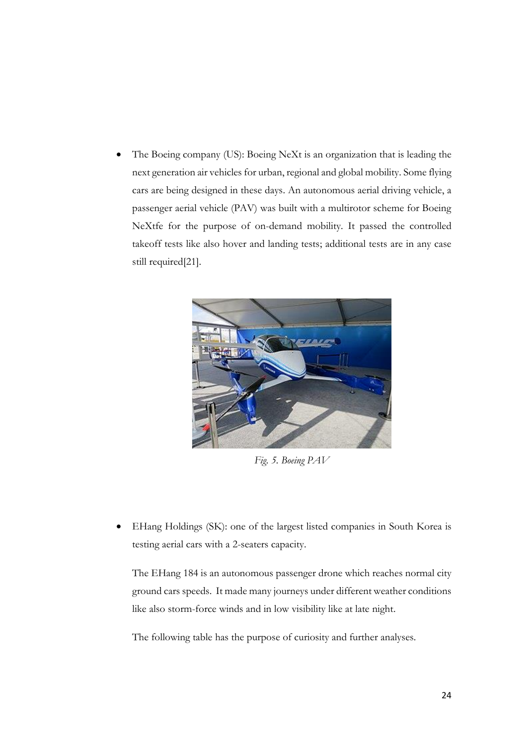The Boeing company (US): Boeing NeXt is an organization that is leading the next generation air vehicles for urban, regional and global mobility. Some flying cars are being designed in these days. An autonomous aerial driving vehicle, a passenger aerial vehicle (PAV) was built with a multirotor scheme for Boeing NeXtfe for the purpose of on-demand mobility. It passed the controlled takeoff tests like also hover and landing tests; additional tests are in any case still required[21].



*Fig. 5. Boeing PAV*

• EHang Holdings (SK): one of the largest listed companies in South Korea is testing aerial cars with a 2-seaters capacity.

The EHang 184 is an autonomous passenger drone which reaches normal city ground cars speeds. It made many journeys under different weather conditions like also storm-force winds and in low visibility like at late night.

The following table has the purpose of curiosity and further analyses.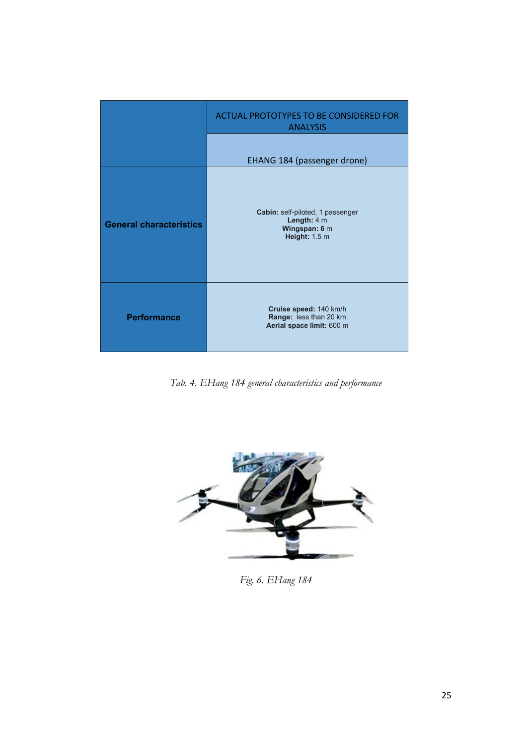|                                | ACTUAL PROTOTYPES TO BE CONSIDERED FOR<br><b>ANALYSIS</b>                          |
|--------------------------------|------------------------------------------------------------------------------------|
|                                | EHANG 184 (passenger drone)                                                        |
| <b>General characteristics</b> | Cabin: self-piloted, 1 passenger<br>Length: $4m$<br>Wingspan: 6 m<br>Height: 1.5 m |
| <b>Performance</b>             | Cruise speed: 140 km/h<br>Range: less than 20 km<br>Aerial space limit: 600 m      |

*Tab. 4. EHang 184 general characteristics and performance*



*Fig. 6. EHang 184*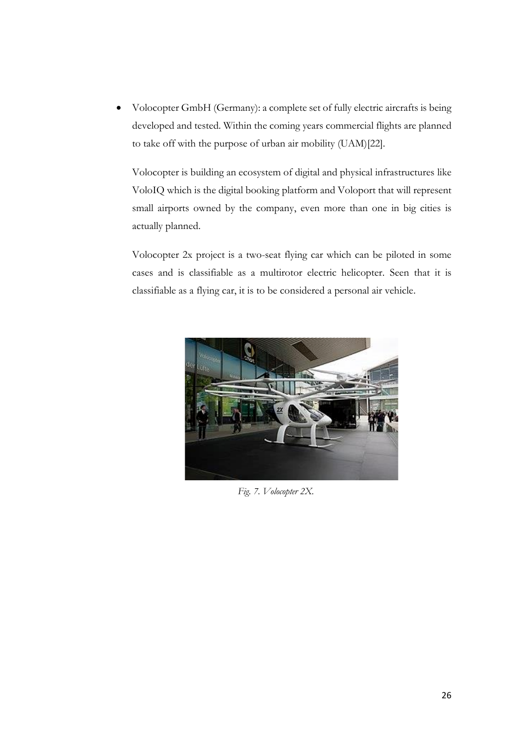• Volocopter GmbH (Germany): a complete set of fully electric aircrafts is being developed and tested. Within the coming years commercial flights are planned to take off with the purpose of urban air mobility (UAM)[22].

Volocopter is building an ecosystem of digital and physical infrastructures like VoloIQ which is the digital booking platform and Voloport that will represent small airports owned by the company, even more than one in big cities is actually planned.

Volocopter 2x project is a two-seat flying car which can be piloted in some cases and is classifiable as a multirotor electric helicopter. Seen that it is classifiable as a flying car, it is to be considered a personal air vehicle.



*Fig. 7. Volocopter 2X.*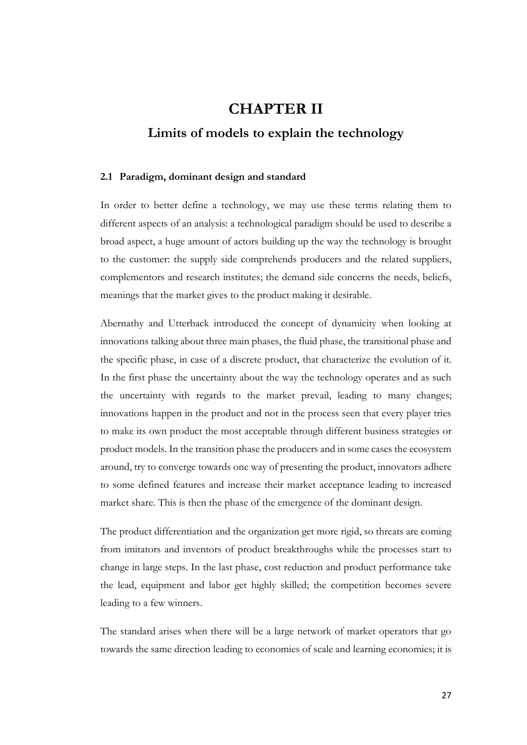## <span id="page-26-0"></span>**CHAPTER II Limits of models to explain the technology**

#### <span id="page-26-1"></span>**2.1 Paradigm, dominant design and standard**

In order to better define a technology, we may use these terms relating them to different aspects of an analysis: a technological paradigm should be used to describe a broad aspect, a huge amount of actors building up the way the technology is brought to the customer: the supply side comprehends producers and the related suppliers, complementors and research institutes; the demand side concerns the needs, beliefs, meanings that the market gives to the product making it desirable.

Abernathy and Utterback introduced the concept of dynamicity when looking at innovations talking about three main phases, the fluid phase, the transitional phase and the specific phase, in case of a discrete product, that characterize the evolution of it. In the first phase the uncertainty about the way the technology operates and as such the uncertainty with regards to the market prevail, leading to many changes; innovations happen in the product and not in the process seen that every player tries to make its own product the most acceptable through different business strategies or product models. In the transition phase the producers and in some cases the ecosystem around, try to converge towards one way of presenting the product, innovators adhere to some defined features and increase their market acceptance leading to increased market share. This is then the phase of the emergence of the dominant design.

The product differentiation and the organization get more rigid, so threats are coming from imitators and inventors of product breakthroughs while the processes start to change in large steps. In the last phase, cost reduction and product performance take the lead, equipment and labor get highly skilled; the competition becomes severe leading to a few winners.

The standard arises when there will be a large network of market operators that go towards the same direction leading to economies of scale and learning economies; it is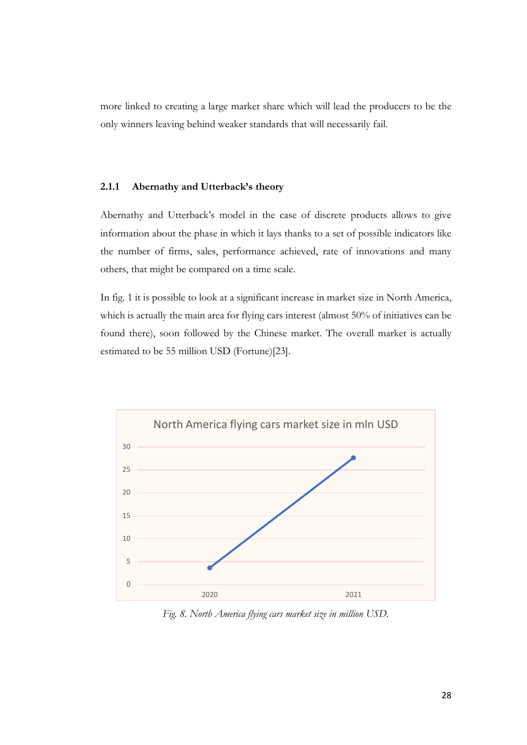more linked to creating a large market share which will lead the producers to be the only winners leaving behind weaker standards that will necessarily fail.

#### <span id="page-27-0"></span>**2.1.1 Abernathy and Utterback's theory**

Abernathy and Utterback's model in the case of discrete products allows to give information about the phase in which it lays thanks to a set of possible indicators like the number of firms, sales, performance achieved, rate of innovations and many others, that might be compared on a time scale.

In fig. 1 it is possible to look at a significant increase in market size in North America, which is actually the main area for flying cars interest (almost 50% of initiatives can be found there), soon followed by the Chinese market. The overall market is actually estimated to be 55 million USD (Fortune)[23].



*Fig. 8. North America flying cars market size in million USD.*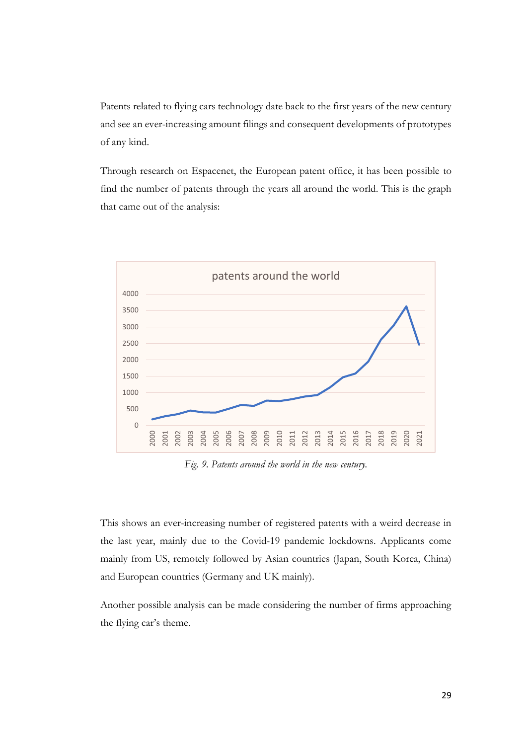Patents related to flying cars technology date back to the first years of the new century and see an ever-increasing amount filings and consequent developments of prototypes of any kind.

Through research on Espacenet, the European patent office, it has been possible to find the number of patents through the years all around the world. This is the graph that came out of the analysis:



*Fig. 9. Patents around the world in the new century.*

This shows an ever-increasing number of registered patents with a weird decrease in the last year, mainly due to the Covid-19 pandemic lockdowns. Applicants come mainly from US, remotely followed by Asian countries (Japan, South Korea, China) and European countries (Germany and UK mainly).

Another possible analysis can be made considering the number of firms approaching the flying car's theme.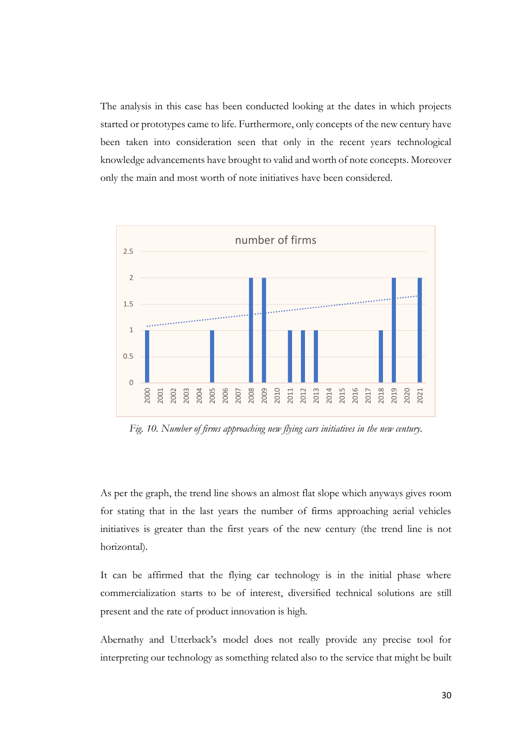The analysis in this case has been conducted looking at the dates in which projects started or prototypes came to life. Furthermore, only concepts of the new century have been taken into consideration seen that only in the recent years technological knowledge advancements have brought to valid and worth of note concepts. Moreover only the main and most worth of note initiatives have been considered.



*Fig. 10. Number of firms approaching new flying cars initiatives in the new century.*

As per the graph, the trend line shows an almost flat slope which anyways gives room for stating that in the last years the number of firms approaching aerial vehicles initiatives is greater than the first years of the new century (the trend line is not horizontal).

It can be affirmed that the flying car technology is in the initial phase where commercialization starts to be of interest, diversified technical solutions are still present and the rate of product innovation is high.

Abernathy and Utterback's model does not really provide any precise tool for interpreting our technology as something related also to the service that might be built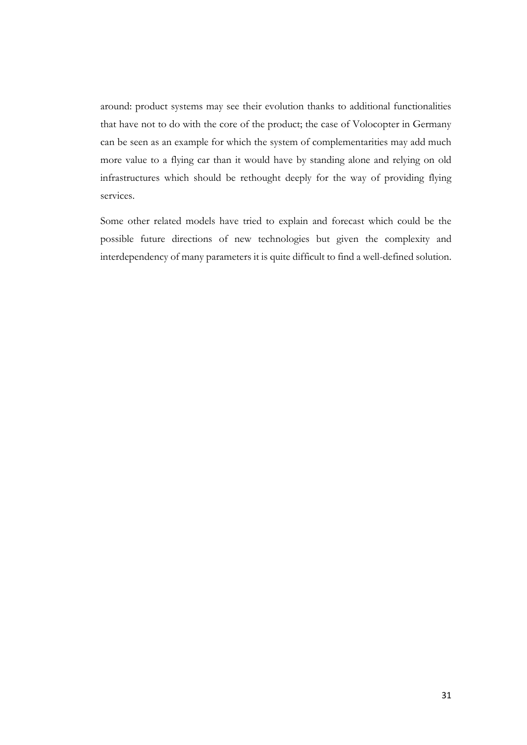around: product systems may see their evolution thanks to additional functionalities that have not to do with the core of the product; the case of Volocopter in Germany can be seen as an example for which the system of complementarities may add much more value to a flying car than it would have by standing alone and relying on old infrastructures which should be rethought deeply for the way of providing flying services.

Some other related models have tried to explain and forecast which could be the possible future directions of new technologies but given the complexity and interdependency of many parameters it is quite difficult to find a well-defined solution.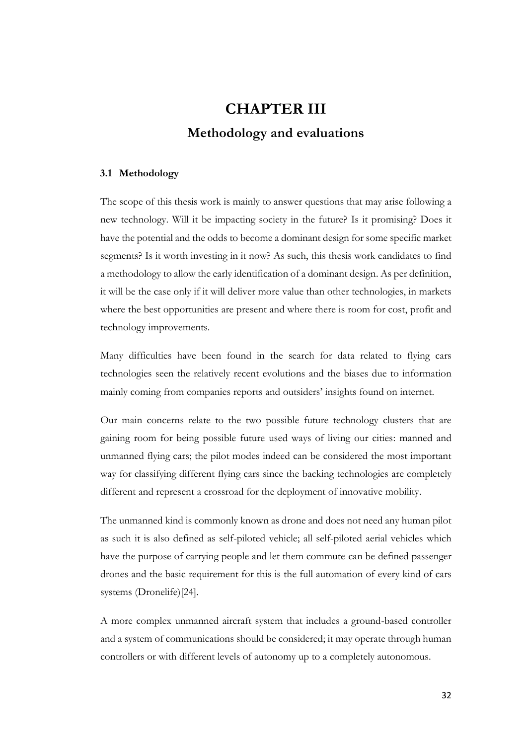## **CHAPTER III Methodology and evaluations**

#### <span id="page-31-1"></span><span id="page-31-0"></span>**3.1 Methodology**

The scope of this thesis work is mainly to answer questions that may arise following a new technology. Will it be impacting society in the future? Is it promising? Does it have the potential and the odds to become a dominant design for some specific market segments? Is it worth investing in it now? As such, this thesis work candidates to find a methodology to allow the early identification of a dominant design. As per definition, it will be the case only if it will deliver more value than other technologies, in markets where the best opportunities are present and where there is room for cost, profit and technology improvements.

Many difficulties have been found in the search for data related to flying cars technologies seen the relatively recent evolutions and the biases due to information mainly coming from companies reports and outsiders' insights found on internet.

Our main concerns relate to the two possible future technology clusters that are gaining room for being possible future used ways of living our cities: manned and unmanned flying cars; the pilot modes indeed can be considered the most important way for classifying different flying cars since the backing technologies are completely different and represent a crossroad for the deployment of innovative mobility.

The unmanned kind is commonly known as drone and does not need any human pilot as such it is also defined as self-piloted vehicle; all self-piloted aerial vehicles which have the purpose of carrying people and let them commute can be defined passenger drones and the basic requirement for this is the full automation of every kind of cars systems (Dronelife)[24].

A more complex unmanned aircraft system that includes a ground-based controller and a system of communications should be considered; it may operate through human controllers or with different levels of autonomy up to a completely autonomous.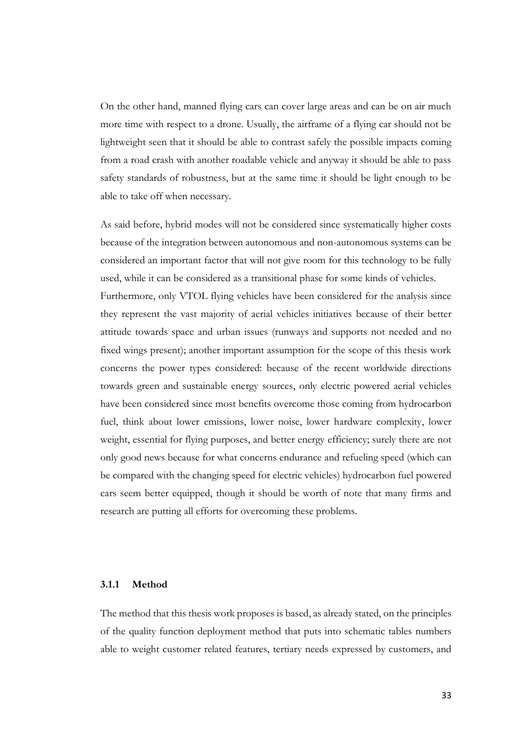On the other hand, manned flying cars can cover large areas and can be on air much more time with respect to a drone. Usually, the airframe of a flying car should not be lightweight seen that it should be able to contrast safely the possible impacts coming from a road crash with another roadable vehicle and anyway it should be able to pass safety standards of robustness, but at the same time it should be light enough to be able to take off when necessary.

As said before, hybrid modes will not be considered since systematically higher costs because of the integration between autonomous and non-autonomous systems can be considered an important factor that will not give room for this technology to be fully used, while it can be considered as a transitional phase for some kinds of vehicles. Furthermore, only VTOL flying vehicles have been considered for the analysis since they represent the vast majority of aerial vehicles initiatives because of their better attitude towards space and urban issues (runways and supports not needed and no fixed wings present); another important assumption for the scope of this thesis work concerns the power types considered: because of the recent worldwide directions towards green and sustainable energy sources, only electric powered aerial vehicles have been considered since most benefits overcome those coming from hydrocarbon fuel, think about lower emissions, lower noise, lower hardware complexity, lower weight, essential for flying purposes, and better energy efficiency; surely there are not only good news because for what concerns endurance and refueling speed (which can be compared with the changing speed for electric vehicles) hydrocarbon fuel powered cars seem better equipped, though it should be worth of note that many firms and research are putting all efforts for overcoming these problems.

#### <span id="page-32-0"></span>**3.1.1 Method**

The method that this thesis work proposes is based, as already stated, on the principles of the quality function deployment method that puts into schematic tables numbers able to weight customer related features, tertiary needs expressed by customers, and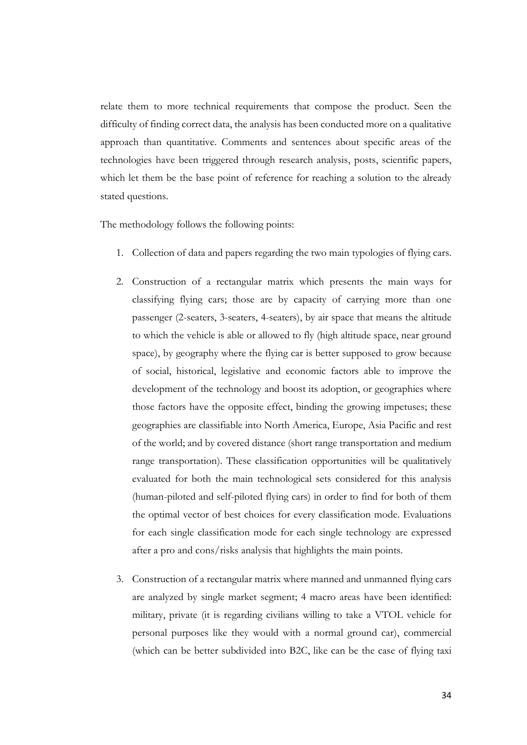relate them to more technical requirements that compose the product. Seen the difficulty of finding correct data, the analysis has been conducted more on a qualitative approach than quantitative. Comments and sentences about specific areas of the technologies have been triggered through research analysis, posts, scientific papers, which let them be the base point of reference for reaching a solution to the already stated questions.

The methodology follows the following points:

- Collection of data and papers regarding the two main typologies of flying cars.
- 2. Construction of a rectangular matrix which presents the main ways for classifying flying cars; those are by capacity of carrying more than one passenger (2-seaters, 3-seaters, 4-seaters), by air space that means the altitude to which the vehicle is able or allowed to fly (high altitude space, near ground space), by geography where the flying car is better supposed to grow because of social, historical, legislative and economic factors able to improve the development of the technology and boost its adoption, or geographies where those factors have the opposite effect, binding the growing impetuses; these geographies are classifiable into North America, Europe, Asia Pacific and rest of the world; and by covered distance (short range transportation and medium range transportation). These classification opportunities will be qualitatively evaluated for both the main technological sets considered for this analysis (human-piloted and self-piloted flying cars) in order to find for both of them the optimal vector of best choices for every classification mode. Evaluations for each single classification mode for each single technology are expressed after a pro and cons/risks analysis that highlights the main points.
- 3. Construction of a rectangular matrix where manned and unmanned flying cars are analyzed by single market segment; 4 macro areas have been identified: military, private (it is regarding civilians willing to take a VTOL vehicle for personal purposes like they would with a normal ground car), commercial (which can be better subdivided into B2C, like can be the case of flying taxi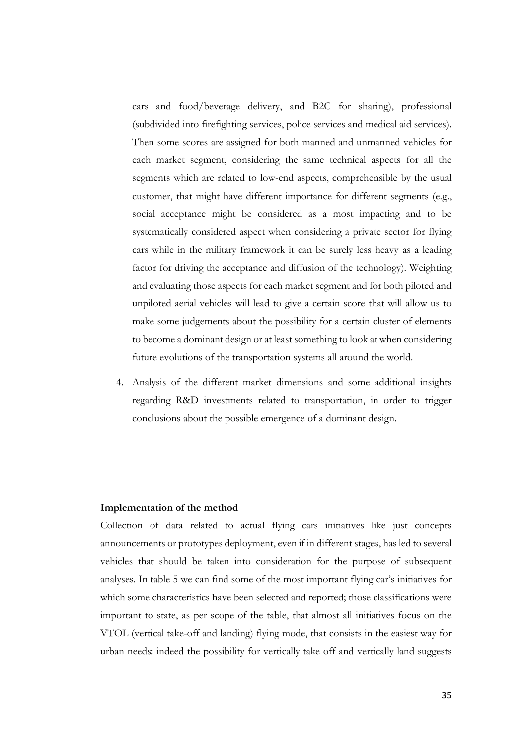cars and food/beverage delivery, and B2C for sharing), professional (subdivided into firefighting services, police services and medical aid services). Then some scores are assigned for both manned and unmanned vehicles for each market segment, considering the same technical aspects for all the segments which are related to low-end aspects, comprehensible by the usual customer, that might have different importance for different segments (e.g., social acceptance might be considered as a most impacting and to be systematically considered aspect when considering a private sector for flying cars while in the military framework it can be surely less heavy as a leading factor for driving the acceptance and diffusion of the technology). Weighting and evaluating those aspects for each market segment and for both piloted and unpiloted aerial vehicles will lead to give a certain score that will allow us to make some judgements about the possibility for a certain cluster of elements to become a dominant design or at least something to look at when considering future evolutions of the transportation systems all around the world.

4. Analysis of the different market dimensions and some additional insights regarding R&D investments related to transportation, in order to trigger conclusions about the possible emergence of a dominant design.

#### **Implementation of the method**

Collection of data related to actual flying cars initiatives like just concepts announcements or prototypes deployment, even if in different stages, has led to several vehicles that should be taken into consideration for the purpose of subsequent analyses. In table 5 we can find some of the most important flying car's initiatives for which some characteristics have been selected and reported; those classifications were important to state, as per scope of the table, that almost all initiatives focus on the VTOL (vertical take-off and landing) flying mode, that consists in the easiest way for urban needs: indeed the possibility for vertically take off and vertically land suggests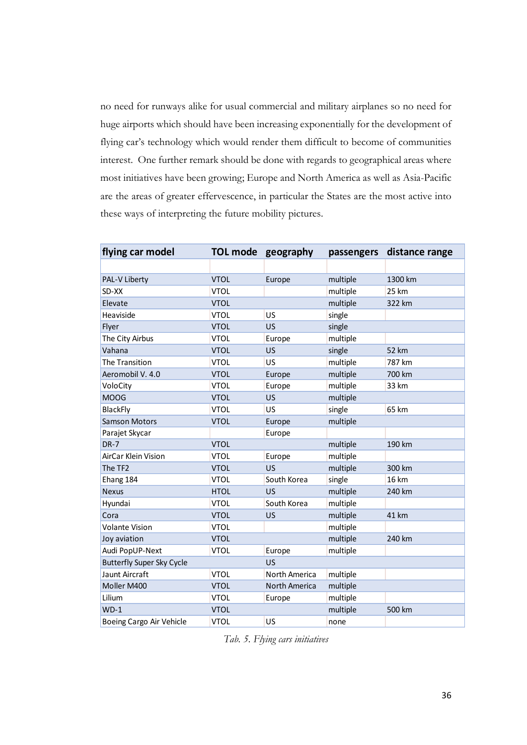no need for runways alike for usual commercial and military airplanes so no need for huge airports which should have been increasing exponentially for the development of flying car's technology which would render them difficult to become of communities interest. One further remark should be done with regards to geographical areas where most initiatives have been growing; Europe and North America as well as Asia-Pacific are the areas of greater effervescence, in particular the States are the most active into these ways of interpreting the future mobility pictures.

| flying car model                 |             | TOL mode geography | passengers | distance range |
|----------------------------------|-------------|--------------------|------------|----------------|
|                                  |             |                    |            |                |
| PAL-V Liberty                    | <b>VTOL</b> | Europe             | multiple   | 1300 km        |
| SD-XX                            | <b>VTOL</b> |                    | multiple   | 25 km          |
| Elevate                          | <b>VTOL</b> |                    | multiple   | 322 km         |
| Heaviside                        | <b>VTOL</b> | US                 | single     |                |
| Flyer                            | <b>VTOL</b> | US                 | single     |                |
| The City Airbus                  | <b>VTOL</b> | Europe             | multiple   |                |
| Vahana                           | <b>VTOL</b> | US                 | single     | 52 km          |
| The Transition                   | <b>VTOL</b> | US                 | multiple   | 787 km         |
| Aeromobil V. 4.0                 | <b>VTOL</b> | Europe             | multiple   | 700 km         |
| VoloCity                         | <b>VTOL</b> | Europe             | multiple   | 33 km          |
| <b>MOOG</b>                      | <b>VTOL</b> | <b>US</b>          | multiple   |                |
| <b>BlackFly</b>                  | <b>VTOL</b> | US                 | single     | 65 km          |
| <b>Samson Motors</b>             | <b>VTOL</b> | Europe             | multiple   |                |
| Parajet Skycar                   |             | Europe             |            |                |
| $DR-7$                           | <b>VTOL</b> |                    | multiple   | 190 km         |
| AirCar Klein Vision              | <b>VTOL</b> | Europe             | multiple   |                |
| The TF2                          | <b>VTOL</b> | <b>US</b>          | multiple   | 300 km         |
| Ehang 184                        | <b>VTOL</b> | South Korea        | single     | 16 km          |
| <b>Nexus</b>                     | <b>HTOL</b> | US                 | multiple   | 240 km         |
| Hyundai                          | <b>VTOL</b> | South Korea        | multiple   |                |
| Cora                             | <b>VTOL</b> | <b>US</b>          | multiple   | 41 km          |
| <b>Volante Vision</b>            | <b>VTOL</b> |                    | multiple   |                |
| Joy aviation                     | <b>VTOL</b> |                    | multiple   | 240 km         |
| Audi PopUP-Next                  | <b>VTOL</b> | Europe             | multiple   |                |
| <b>Butterfly Super Sky Cycle</b> |             | <b>US</b>          |            |                |
| Jaunt Aircraft                   | <b>VTOL</b> | North America      | multiple   |                |
| Moller M400                      | <b>VTOL</b> | North America      | multiple   |                |
| Lilium                           | <b>VTOL</b> | Europe             | multiple   |                |
| $WD-1$                           | <b>VTOL</b> |                    | multiple   | 500 km         |
| Boeing Cargo Air Vehicle         | <b>VTOL</b> | US                 | none       |                |

*Tab. 5. Flying cars initiatives*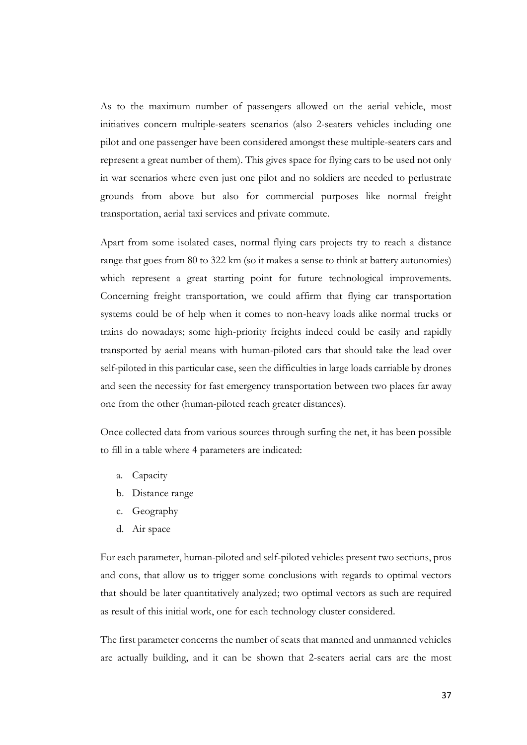As to the maximum number of passengers allowed on the aerial vehicle, most initiatives concern multiple-seaters scenarios (also 2-seaters vehicles including one pilot and one passenger have been considered amongst these multiple-seaters cars and represent a great number of them). This gives space for flying cars to be used not only in war scenarios where even just one pilot and no soldiers are needed to perlustrate grounds from above but also for commercial purposes like normal freight transportation, aerial taxi services and private commute.

Apart from some isolated cases, normal flying cars projects try to reach a distance range that goes from 80 to 322 km (so it makes a sense to think at battery autonomies) which represent a great starting point for future technological improvements. Concerning freight transportation, we could affirm that flying car transportation systems could be of help when it comes to non-heavy loads alike normal trucks or trains do nowadays; some high-priority freights indeed could be easily and rapidly transported by aerial means with human-piloted cars that should take the lead over self-piloted in this particular case, seen the difficulties in large loads carriable by drones and seen the necessity for fast emergency transportation between two places far away one from the other (human-piloted reach greater distances).

Once collected data from various sources through surfing the net, it has been possible to fill in a table where 4 parameters are indicated:

- a. Capacity
- b. Distance range
- c. Geography
- d. Air space

For each parameter, human-piloted and self-piloted vehicles present two sections, pros and cons, that allow us to trigger some conclusions with regards to optimal vectors that should be later quantitatively analyzed; two optimal vectors as such are required as result of this initial work, one for each technology cluster considered.

The first parameter concerns the number of seats that manned and unmanned vehicles are actually building, and it can be shown that 2-seaters aerial cars are the most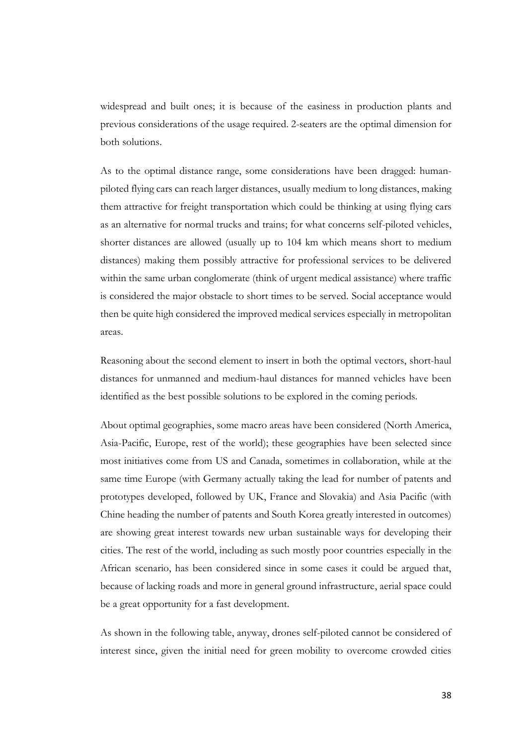widespread and built ones; it is because of the easiness in production plants and previous considerations of the usage required. 2-seaters are the optimal dimension for both solutions.

As to the optimal distance range, some considerations have been dragged: humanpiloted flying cars can reach larger distances, usually medium to long distances, making them attractive for freight transportation which could be thinking at using flying cars as an alternative for normal trucks and trains; for what concerns self-piloted vehicles, shorter distances are allowed (usually up to 104 km which means short to medium distances) making them possibly attractive for professional services to be delivered within the same urban conglomerate (think of urgent medical assistance) where traffic is considered the major obstacle to short times to be served. Social acceptance would then be quite high considered the improved medical services especially in metropolitan areas.

Reasoning about the second element to insert in both the optimal vectors, short-haul distances for unmanned and medium-haul distances for manned vehicles have been identified as the best possible solutions to be explored in the coming periods.

About optimal geographies, some macro areas have been considered (North America, Asia-Pacific, Europe, rest of the world); these geographies have been selected since most initiatives come from US and Canada, sometimes in collaboration, while at the same time Europe (with Germany actually taking the lead for number of patents and prototypes developed, followed by UK, France and Slovakia) and Asia Pacific (with Chine heading the number of patents and South Korea greatly interested in outcomes) are showing great interest towards new urban sustainable ways for developing their cities. The rest of the world, including as such mostly poor countries especially in the African scenario, has been considered since in some cases it could be argued that, because of lacking roads and more in general ground infrastructure, aerial space could be a great opportunity for a fast development.

As shown in the following table, anyway, drones self-piloted cannot be considered of interest since, given the initial need for green mobility to overcome crowded cities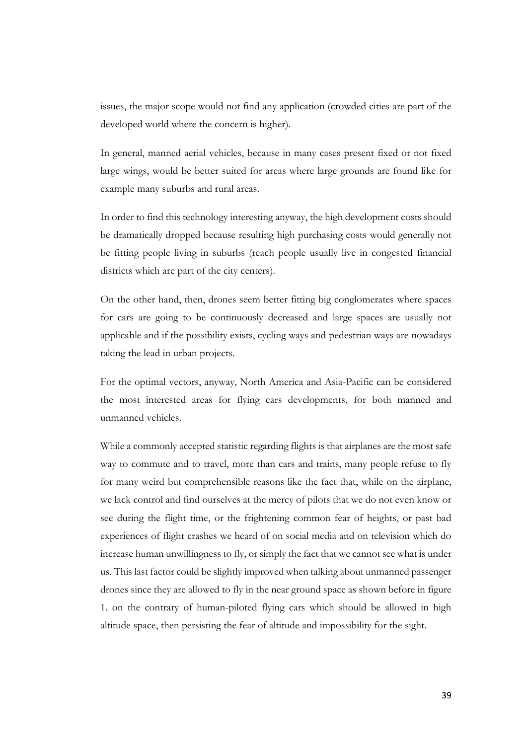issues, the major scope would not find any application (crowded cities are part of the developed world where the concern is higher).

In general, manned aerial vehicles, because in many cases present fixed or not fixed large wings, would be better suited for areas where large grounds are found like for example many suburbs and rural areas.

In order to find this technology interesting anyway, the high development costs should be dramatically dropped because resulting high purchasing costs would generally not be fitting people living in suburbs (reach people usually live in congested financial districts which are part of the city centers).

On the other hand, then, drones seem better fitting big conglomerates where spaces for cars are going to be continuously decreased and large spaces are usually not applicable and if the possibility exists, cycling ways and pedestrian ways are nowadays taking the lead in urban projects.

For the optimal vectors, anyway, North America and Asia-Pacific can be considered the most interested areas for flying cars developments, for both manned and unmanned vehicles.

While a commonly accepted statistic regarding flights is that airplanes are the most safe way to commute and to travel, more than cars and trains, many people refuse to fly for many weird but comprehensible reasons like the fact that, while on the airplane, we lack control and find ourselves at the mercy of pilots that we do not even know or see during the flight time, or the frightening common fear of heights, or past bad experiences of flight crashes we heard of on social media and on television which do increase human unwillingness to fly, or simply the fact that we cannot see what is under us. This last factor could be slightly improved when talking about unmanned passenger drones since they are allowed to fly in the near ground space as shown before in figure 1. on the contrary of human-piloted flying cars which should be allowed in high altitude space, then persisting the fear of altitude and impossibility for the sight.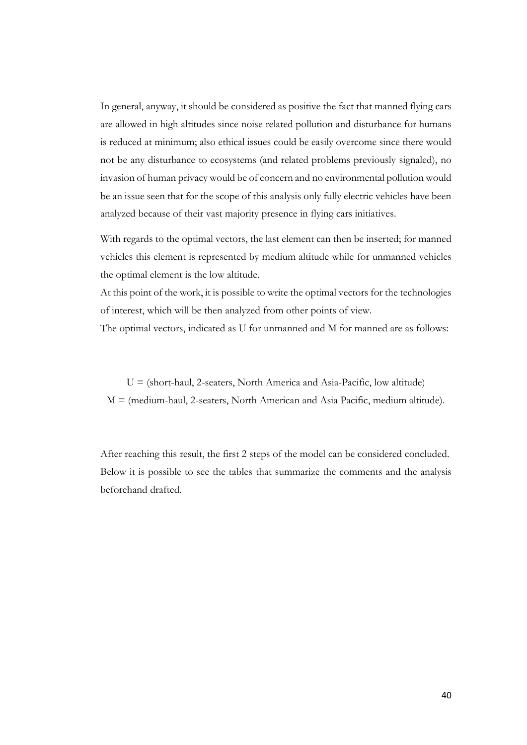In general, anyway, it should be considered as positive the fact that manned flying cars are allowed in high altitudes since noise related pollution and disturbance for humans is reduced at minimum; also ethical issues could be easily overcome since there would not be any disturbance to ecosystems (and related problems previously signaled), no invasion of human privacy would be of concern and no environmental pollution would be an issue seen that for the scope of this analysis only fully electric vehicles have been analyzed because of their vast majority presence in flying cars initiatives.

With regards to the optimal vectors, the last element can then be inserted; for manned vehicles this element is represented by medium altitude while for unmanned vehicles the optimal element is the low altitude.

At this point of the work, it is possible to write the optimal vectors for the technologies of interest, which will be then analyzed from other points of view.

The optimal vectors, indicated as U for unmanned and M for manned are as follows:

 $U =$  (short-haul, 2-seaters, North America and Asia-Pacific, low altitude) M = (medium-haul, 2-seaters, North American and Asia Pacific, medium altitude).

After reaching this result, the first 2 steps of the model can be considered concluded. Below it is possible to see the tables that summarize the comments and the analysis beforehand drafted.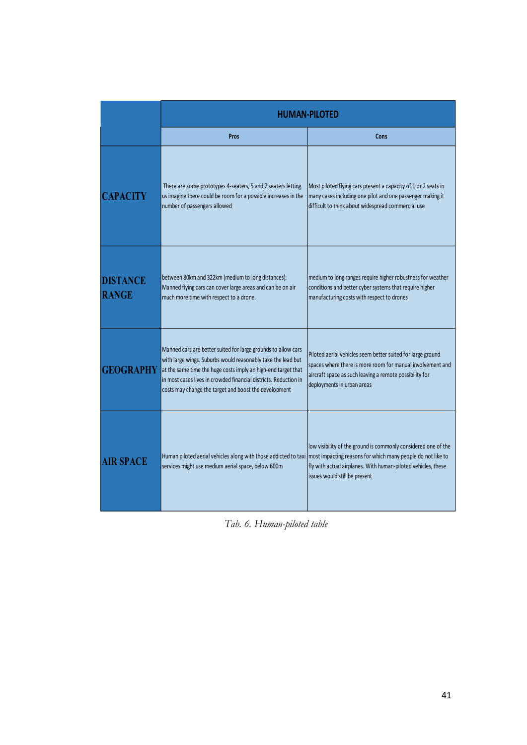|                                 | <b>HUMAN-PILOTED</b>                                                                                                                                                                                                                                                                                                        |                                                                                                                                                                                                                                 |  |  |
|---------------------------------|-----------------------------------------------------------------------------------------------------------------------------------------------------------------------------------------------------------------------------------------------------------------------------------------------------------------------------|---------------------------------------------------------------------------------------------------------------------------------------------------------------------------------------------------------------------------------|--|--|
|                                 | Pros                                                                                                                                                                                                                                                                                                                        | Cons                                                                                                                                                                                                                            |  |  |
| <b>CAPACITY</b>                 | There are some prototypes 4-seaters, 5 and 7 seaters letting<br>us imagine there could be room for a possible increases in the<br>number of passengers allowed                                                                                                                                                              | Most piloted flying cars present a capacity of 1 or 2 seats in<br>many cases including one pilot and one passenger making it<br>difficult to think about widespread commercial use                                              |  |  |
| <b>DISTANCE</b><br><b>RANGE</b> | between 80km and 322km (medium to long distances):<br>Manned flying cars can cover large areas and can be on air<br>much more time with respect to a drone.                                                                                                                                                                 | medium to long ranges require higher robustness for weather<br>conditions and better cyber systems that require higher<br>manufacturing costs with respect to drones                                                            |  |  |
| <b>GEOGRAPHY</b>                | Manned cars are better suited for large grounds to allow cars<br>with large wings. Suburbs would reasonably take the lead but<br>at the same time the huge costs imply an high-end target that<br>in most cases lives in crowded financial districts. Reduction in<br>costs may change the target and boost the development | Piloted aerial vehicles seem better suited for large ground<br>spaces where there is more room for manual involvement and<br>aircraft space as such leaving a remote possibility for<br>deployments in urban areas              |  |  |
| <b>AIR SPACE</b>                | Human piloted aerial vehicles along with those addicted to taxi<br>services might use medium aerial space, below 600m                                                                                                                                                                                                       | low visibility of the ground is commonly considered one of the<br>most impacting reasons for which many people do not like to<br>fly with actual airplanes. With human-piloted vehicles, these<br>issues would still be present |  |  |

*Tab. 6. Human-piloted table*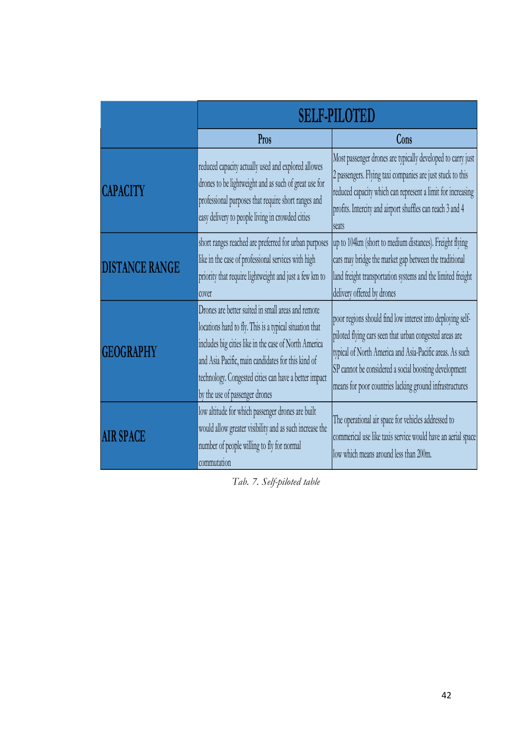|                       | <b>SELF-PILOTED</b>                                                                                                                                                                                                                                                                                                     |                                                                                                                                                                                                                                                                                                       |  |  |
|-----------------------|-------------------------------------------------------------------------------------------------------------------------------------------------------------------------------------------------------------------------------------------------------------------------------------------------------------------------|-------------------------------------------------------------------------------------------------------------------------------------------------------------------------------------------------------------------------------------------------------------------------------------------------------|--|--|
|                       | Pros                                                                                                                                                                                                                                                                                                                    | Cons                                                                                                                                                                                                                                                                                                  |  |  |
| <b>CAPACITY</b>       | reduced capacity actually used and explored allowes<br>drones to be lightweight and as such of great use for<br>professional purposes that require short ranges and<br>easy delivery to people living in crowded cities                                                                                                 | Most passenger drones are typically developed to carry just<br>2 passengers. Flying taxi companies are just stuck to this<br>reduced capacity which can represent a limit for increasing<br>profits. Intercity and airport shuffles can reach 3 and 4<br><b>seats</b>                                 |  |  |
| <b>DISTANCE RANGE</b> | short ranges reached are preferred for urban purposes<br>like in the case of professional services with high<br>priority that require lightweight and just a few km to<br>cover                                                                                                                                         | up to 104km (short to medium distances). Freight flying<br>cars may bridge the market gap between the traditional<br>land freight transportation systems and the limited freight<br>delivery offered by drones                                                                                        |  |  |
| <b>GEOGRAPHY</b>      | Drones are better suited in small areas and remote<br>locations hard to fly. This is a typical situation that<br>includes big cities like in the case of North America<br>and Asia Pacific, main candidates for this kind of<br>technology. Congested cities can have a better impact<br>by the use of passenger drones | poor regions should find low interest into deploying self-<br>piloted flying cars seen that urban congested areas are<br>typical of North America and Asia-Pacific areas. As such<br>SP cannot be considered a social boosting development<br>means for poor countries lacking ground infrastructures |  |  |
| <b>AIR SPACE</b>      | low altitude for which passenger drones are built<br>would allow greater visibility and as such increase the<br>number of people willing to fly for normal<br>commutation                                                                                                                                               | The operational air space for vehicles addressed to<br>commerical use like taxis service would have an aerial space<br>low which means around less than 200m.                                                                                                                                         |  |  |

*Tab. 7. Self-piloted table*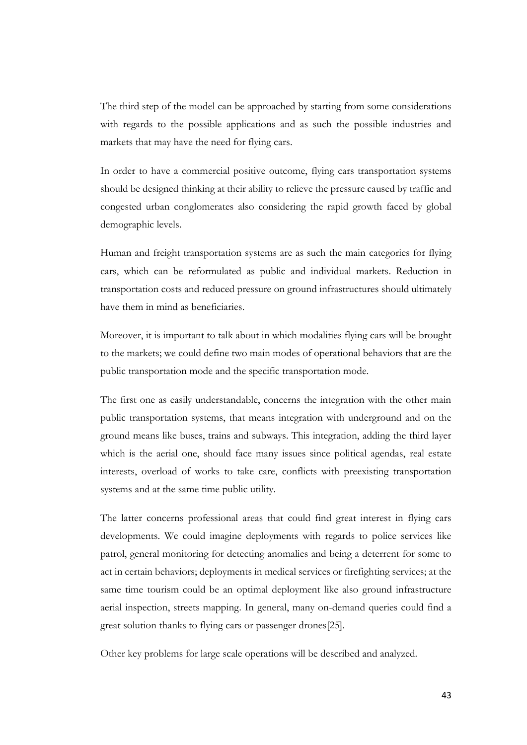The third step of the model can be approached by starting from some considerations with regards to the possible applications and as such the possible industries and markets that may have the need for flying cars.

In order to have a commercial positive outcome, flying cars transportation systems should be designed thinking at their ability to relieve the pressure caused by traffic and congested urban conglomerates also considering the rapid growth faced by global demographic levels.

Human and freight transportation systems are as such the main categories for flying cars, which can be reformulated as public and individual markets. Reduction in transportation costs and reduced pressure on ground infrastructures should ultimately have them in mind as beneficiaries.

Moreover, it is important to talk about in which modalities flying cars will be brought to the markets; we could define two main modes of operational behaviors that are the public transportation mode and the specific transportation mode.

The first one as easily understandable, concerns the integration with the other main public transportation systems, that means integration with underground and on the ground means like buses, trains and subways. This integration, adding the third layer which is the aerial one, should face many issues since political agendas, real estate interests, overload of works to take care, conflicts with preexisting transportation systems and at the same time public utility.

The latter concerns professional areas that could find great interest in flying cars developments. We could imagine deployments with regards to police services like patrol, general monitoring for detecting anomalies and being a deterrent for some to act in certain behaviors; deployments in medical services or firefighting services; at the same time tourism could be an optimal deployment like also ground infrastructure aerial inspection, streets mapping. In general, many on-demand queries could find a great solution thanks to flying cars or passenger drones[25].

Other key problems for large scale operations will be described and analyzed.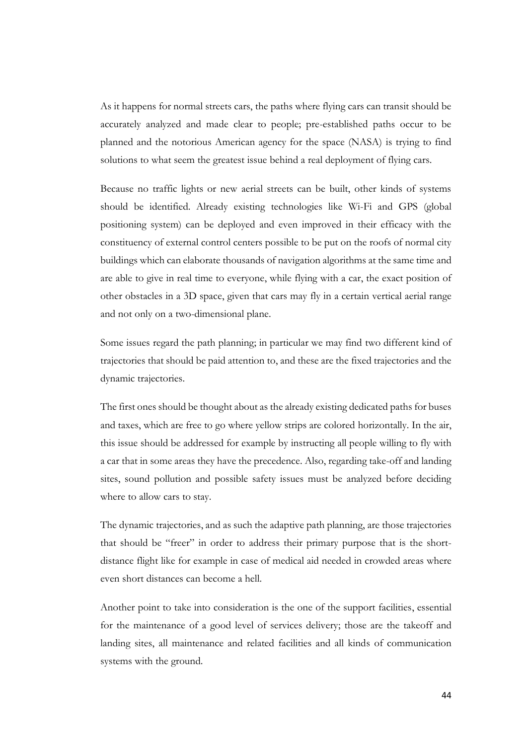As it happens for normal streets cars, the paths where flying cars can transit should be accurately analyzed and made clear to people; pre-established paths occur to be planned and the notorious American agency for the space (NASA) is trying to find solutions to what seem the greatest issue behind a real deployment of flying cars.

Because no traffic lights or new aerial streets can be built, other kinds of systems should be identified. Already existing technologies like Wi-Fi and GPS (global positioning system) can be deployed and even improved in their efficacy with the constituency of external control centers possible to be put on the roofs of normal city buildings which can elaborate thousands of navigation algorithms at the same time and are able to give in real time to everyone, while flying with a car, the exact position of other obstacles in a 3D space, given that cars may fly in a certain vertical aerial range and not only on a two-dimensional plane.

Some issues regard the path planning; in particular we may find two different kind of trajectories that should be paid attention to, and these are the fixed trajectories and the dynamic trajectories.

The first ones should be thought about as the already existing dedicated paths for buses and taxes, which are free to go where yellow strips are colored horizontally. In the air, this issue should be addressed for example by instructing all people willing to fly with a car that in some areas they have the precedence. Also, regarding take-off and landing sites, sound pollution and possible safety issues must be analyzed before deciding where to allow cars to stay.

The dynamic trajectories, and as such the adaptive path planning, are those trajectories that should be "freer" in order to address their primary purpose that is the shortdistance flight like for example in case of medical aid needed in crowded areas where even short distances can become a hell.

Another point to take into consideration is the one of the support facilities, essential for the maintenance of a good level of services delivery; those are the takeoff and landing sites, all maintenance and related facilities and all kinds of communication systems with the ground.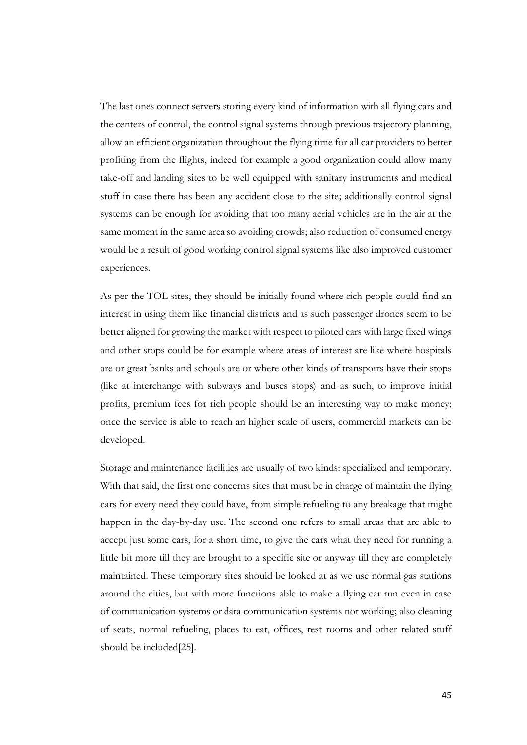The last ones connect servers storing every kind of information with all flying cars and the centers of control, the control signal systems through previous trajectory planning, allow an efficient organization throughout the flying time for all car providers to better profiting from the flights, indeed for example a good organization could allow many take-off and landing sites to be well equipped with sanitary instruments and medical stuff in case there has been any accident close to the site; additionally control signal systems can be enough for avoiding that too many aerial vehicles are in the air at the same moment in the same area so avoiding crowds; also reduction of consumed energy would be a result of good working control signal systems like also improved customer experiences.

As per the TOL sites, they should be initially found where rich people could find an interest in using them like financial districts and as such passenger drones seem to be better aligned for growing the market with respect to piloted cars with large fixed wings and other stops could be for example where areas of interest are like where hospitals are or great banks and schools are or where other kinds of transports have their stops (like at interchange with subways and buses stops) and as such, to improve initial profits, premium fees for rich people should be an interesting way to make money; once the service is able to reach an higher scale of users, commercial markets can be developed.

Storage and maintenance facilities are usually of two kinds: specialized and temporary. With that said, the first one concerns sites that must be in charge of maintain the flying cars for every need they could have, from simple refueling to any breakage that might happen in the day-by-day use. The second one refers to small areas that are able to accept just some cars, for a short time, to give the cars what they need for running a little bit more till they are brought to a specific site or anyway till they are completely maintained. These temporary sites should be looked at as we use normal gas stations around the cities, but with more functions able to make a flying car run even in case of communication systems or data communication systems not working; also cleaning of seats, normal refueling, places to eat, offices, rest rooms and other related stuff should be included[25].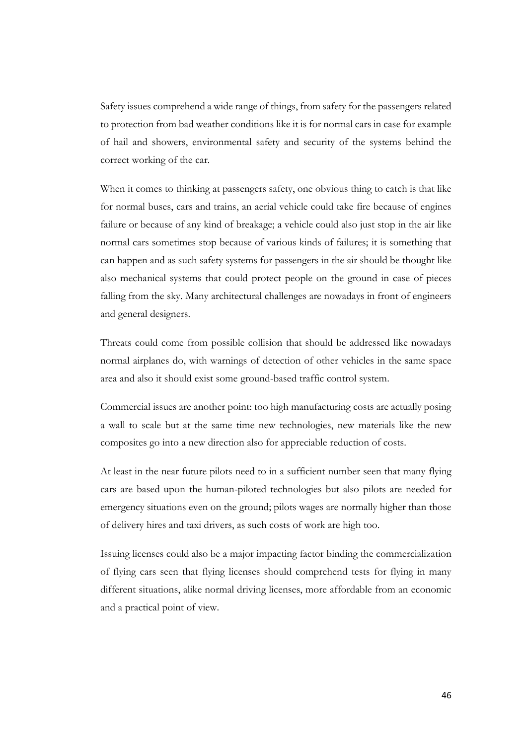Safety issues comprehend a wide range of things, from safety for the passengers related to protection from bad weather conditions like it is for normal cars in case for example of hail and showers, environmental safety and security of the systems behind the correct working of the car.

When it comes to thinking at passengers safety, one obvious thing to catch is that like for normal buses, cars and trains, an aerial vehicle could take fire because of engines failure or because of any kind of breakage; a vehicle could also just stop in the air like normal cars sometimes stop because of various kinds of failures; it is something that can happen and as such safety systems for passengers in the air should be thought like also mechanical systems that could protect people on the ground in case of pieces falling from the sky. Many architectural challenges are nowadays in front of engineers and general designers.

Threats could come from possible collision that should be addressed like nowadays normal airplanes do, with warnings of detection of other vehicles in the same space area and also it should exist some ground-based traffic control system.

Commercial issues are another point: too high manufacturing costs are actually posing a wall to scale but at the same time new technologies, new materials like the new composites go into a new direction also for appreciable reduction of costs.

At least in the near future pilots need to in a sufficient number seen that many flying cars are based upon the human-piloted technologies but also pilots are needed for emergency situations even on the ground; pilots wages are normally higher than those of delivery hires and taxi drivers, as such costs of work are high too.

Issuing licenses could also be a major impacting factor binding the commercialization of flying cars seen that flying licenses should comprehend tests for flying in many different situations, alike normal driving licenses, more affordable from an economic and a practical point of view.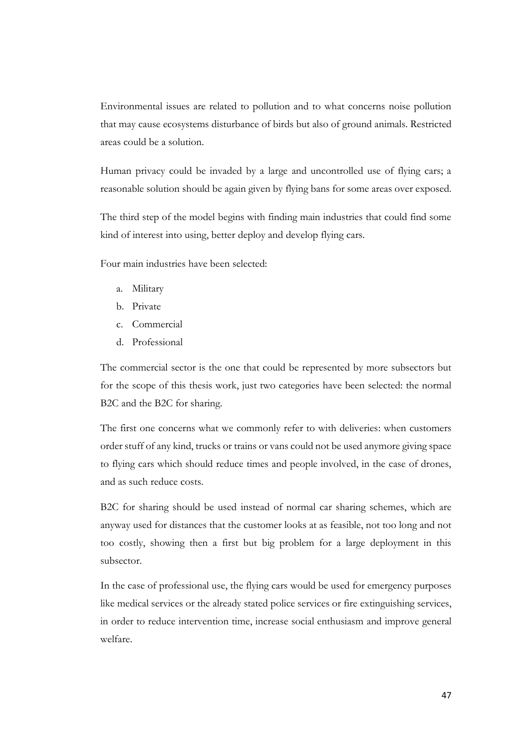Environmental issues are related to pollution and to what concerns noise pollution that may cause ecosystems disturbance of birds but also of ground animals. Restricted areas could be a solution.

Human privacy could be invaded by a large and uncontrolled use of flying cars; a reasonable solution should be again given by flying bans for some areas over exposed.

The third step of the model begins with finding main industries that could find some kind of interest into using, better deploy and develop flying cars.

Four main industries have been selected:

- a. Military
- b. Private
- c. Commercial
- d. Professional

The commercial sector is the one that could be represented by more subsectors but for the scope of this thesis work, just two categories have been selected: the normal B2C and the B2C for sharing.

The first one concerns what we commonly refer to with deliveries: when customers order stuff of any kind, trucks or trains or vans could not be used anymore giving space to flying cars which should reduce times and people involved, in the case of drones, and as such reduce costs.

B2C for sharing should be used instead of normal car sharing schemes, which are anyway used for distances that the customer looks at as feasible, not too long and not too costly, showing then a first but big problem for a large deployment in this subsector.

In the case of professional use, the flying cars would be used for emergency purposes like medical services or the already stated police services or fire extinguishing services, in order to reduce intervention time, increase social enthusiasm and improve general welfare.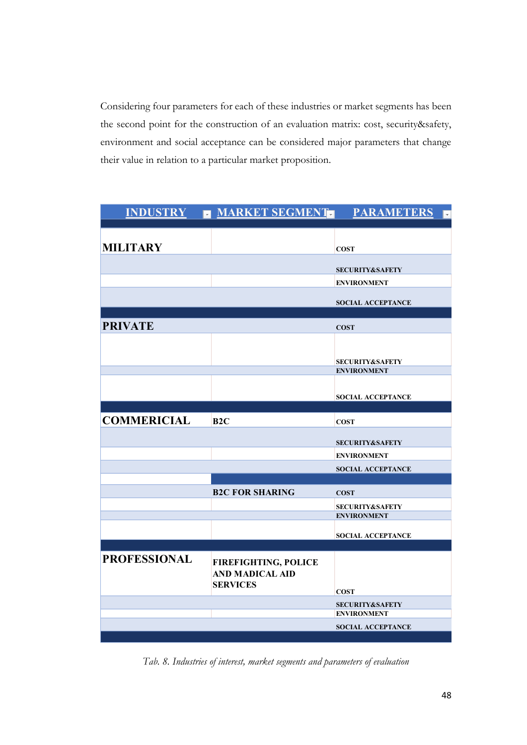Considering four parameters for each of these industries or market segments has been the second point for the construction of an evaluation matrix: cost, security&safety, environment and social acceptance can be considered major parameters that change their value in relation to a particular market proposition.

|                     | INDUSTRY - MARKET SEGMENT-                            | <b>PARAMETERS</b><br>$\bar{\mathbf{v}}$          |
|---------------------|-------------------------------------------------------|--------------------------------------------------|
|                     |                                                       |                                                  |
| <b>MILITARY</b>     |                                                       | <b>COST</b>                                      |
|                     |                                                       | <b>SECURITY&amp;SAFETY</b>                       |
|                     |                                                       | <b>ENVIRONMENT</b>                               |
|                     |                                                       | <b>SOCIAL ACCEPTANCE</b>                         |
| <b>PRIVATE</b>      |                                                       | <b>COST</b>                                      |
|                     |                                                       |                                                  |
|                     |                                                       | <b>SECURITY&amp;SAFETY</b><br><b>ENVIRONMENT</b> |
|                     |                                                       | <b>SOCIAL ACCEPTANCE</b>                         |
|                     |                                                       |                                                  |
| <b>COMMERICIAL</b>  | B2C                                                   | <b>COST</b>                                      |
|                     |                                                       | <b>SECURITY&amp;SAFETY</b>                       |
|                     |                                                       | <b>ENVIRONMENT</b>                               |
|                     |                                                       | <b>SOCIAL ACCEPTANCE</b>                         |
|                     | <b>B2C FOR SHARING</b>                                | <b>COST</b>                                      |
|                     |                                                       | <b>SECURITY&amp;SAFETY</b><br><b>ENVIRONMENT</b> |
|                     |                                                       | <b>SOCIAL ACCEPTANCE</b>                         |
|                     |                                                       |                                                  |
| <b>PROFESSIONAL</b> | <b>FIREFIGHTING, POLICE</b><br><b>AND MADICAL AID</b> |                                                  |
|                     | <b>SERVICES</b>                                       | <b>COST</b>                                      |
|                     |                                                       | <b>SECURITY&amp;SAFETY</b><br><b>ENVIRONMENT</b> |
|                     |                                                       | <b>SOCIAL ACCEPTANCE</b>                         |
|                     |                                                       |                                                  |

*Tab. 8. Industries of interest, market segments and parameters of evaluation*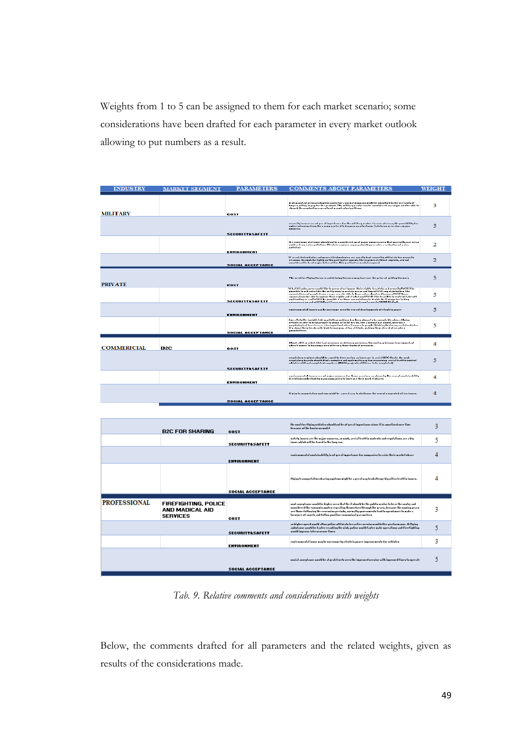Weights from 1 to 5 can be assigned to them for each market scenario; some considerations have been drafted for each parameter in every market outlook allowing to put numbers as a result.

| <b>INDUSTRY</b>     | <b>MARKET SEGMENT</b>                          | <b>PARAMETERS</b>          | <b>COMMENTS ABOUT PARAMETERS</b>                                                                                                                                                                                                                                                                                                                                                                                                                                                                                       | <b>WEIGHT</b> |
|---------------------|------------------------------------------------|----------------------------|------------------------------------------------------------------------------------------------------------------------------------------------------------------------------------------------------------------------------------------------------------------------------------------------------------------------------------------------------------------------------------------------------------------------------------------------------------------------------------------------------------------------|---------------|
| <b>MILITARY</b>     |                                                | COST                       | high movefortering production angle for a sermal sempore might browsed by the sertainty of<br>kapeer witing to pay for the product. The wititary wedge was be used freed as a wajor wedge able to<br>about the production expanity of wavefactoring firms.                                                                                                                                                                                                                                                             | 3             |
|                     |                                                |                            | araarily innore 200 of yrral inperlaner for the nilliary order: in 2000 of 10.000, the possibility for<br>aghee intension feam the enemy was lead to damperous situations. Safety innue in alon a major<br>                                                                                                                                                                                                                                                                                                            | 5             |
|                     |                                                | <b>SECURITT&amp;SAFETT</b> |                                                                                                                                                                                                                                                                                                                                                                                                                                                                                                                        |               |
|                     |                                                | ENVIRONMENT                | the expiramental inner should get be annotheed as of major poperty area that poetrally war areas<br>auf fee fean anise pollolino. Elentein enginen sogusquhanld gasesatee s eednalina of anise<br>$-11 - 12 - 1$                                                                                                                                                                                                                                                                                                       | 2             |
|                     |                                                | <b>SOCIAL ACCEPTANCE</b>   | Was selated which cand general tenhoringies are nonally heptocorel by officials for neureily<br>reasons, the modification that particular appellator in the ingeneral elimit aspects, are not<br>considered to be of major interest                                                                                                                                                                                                                                                                                    | 2             |
|                     |                                                |                            |                                                                                                                                                                                                                                                                                                                                                                                                                                                                                                                        |               |
| <b>PRIVATE</b>      |                                                | <b>COST</b>                | The aced for flying lineares and deining lineares may increase the princ of getting timences                                                                                                                                                                                                                                                                                                                                                                                                                           | 5.            |
|                     |                                                | <b>SECURITT&amp;SAFETT</b> | What if tandowers would like to present or impose their eights to safely and severily?Will it he<br>pannikle la nel enten tike the nu filg nune in neelain aeean and timen?Will ang utabeholdee tike<br>recordables of propis from a state area for able is known in a form and the state of the line of the line of the line of the relationship of the line of the line of the line of the line of the line of the line of the line<br>sassessees as and off? Ikilan://www.exeesseeseesel.com/eenerla/IN18334.kimil. | 5             |
|                     |                                                | <b>ENTIRONHENT</b>         | contrasported insurance for any case area the crocal developments of cleatein passer                                                                                                                                                                                                                                                                                                                                                                                                                                   | 5             |
|                     |                                                | <b>SOCIAL ACCEPTANCE</b>   | for a Defaille innight, tabing pilattean achinen han hero aboun to be anneptable when a flying<br>ackinte in able to being people to above as to the beauty like a normal nor unably movement."<br>populational tore from the important ulcon it comes to people thinking that many are faither<br>Eig above their heads with high for<br>possibilities.                                                                                                                                                               | 5             |
|                     |                                                |                            |                                                                                                                                                                                                                                                                                                                                                                                                                                                                                                                        |               |
| <b>COMMERICIAL</b>  | B2C                                            | <b>COST</b>                | Abant a D2C market, like tani neruinen ne delinery neruinen, the nunt may kennur tenn important.<br>aken it nomen to hiy nompanien offering those hinds of neruinen.                                                                                                                                                                                                                                                                                                                                                   | 4             |
|                     |                                                | <b>SECURITT&amp;SAFETT</b> | regulatory regimes should be a most before prejug as inserance in arcial DZC floats. As sook<br>eequisinen haseda ahaald fiind s aanpien sad aqalemsiin waq fae aequaining seeist lesffin aanleal.<br>which is aliff and aanpieled saqwheee (NASA peajenta aliff haae ta he aanpieled).                                                                                                                                                                                                                                | 5             |
|                     |                                                | <b>ENVIRONHENT</b>         | canticanary at all theory are not mader nonners for these previous an obscur by the central numbricatitity<br>diventions and relate by many announced to intervalse their market abares.                                                                                                                                                                                                                                                                                                                               | 4             |
|                     |                                                | <b>SOCIAL ACCEPTANCE</b>   | Figing teamsportation negotenes wight he a great way to obattenge the expent nongented uttien innoce.                                                                                                                                                                                                                                                                                                                                                                                                                  | 4             |
|                     |                                                |                            |                                                                                                                                                                                                                                                                                                                                                                                                                                                                                                                        |               |
|                     |                                                |                            |                                                                                                                                                                                                                                                                                                                                                                                                                                                                                                                        |               |
|                     | <b>B2C FOR SHARING</b>                         | COST                       | the anal fac flying orbinles should not be of great importance since it is amortized once time.<br>headair of the hastacan model.                                                                                                                                                                                                                                                                                                                                                                                      | 3             |
|                     |                                                | <b>SECURITT&amp;SAFETT</b> | uafely innuen are lhe major unuvero, an undi, areial leaffin unuleulu and eeyolalinnu are a hiy<br>inner which will be found in the long case.                                                                                                                                                                                                                                                                                                                                                                         | 5             |
|                     |                                                | <b>ENTIRONMENT</b>         | enniennmental nuotainakility in of yeest impoetanue fue numpanien to esine their machet okace                                                                                                                                                                                                                                                                                                                                                                                                                          | 4             |
|                     |                                                | <b>SOCIAL ACCEPTANCE</b>   | flying leannpoelalinn okacing nyolemu might he a geeal way lo okallenge hig nilico leaffin innocu.                                                                                                                                                                                                                                                                                                                                                                                                                     |               |
|                     |                                                |                            |                                                                                                                                                                                                                                                                                                                                                                                                                                                                                                                        |               |
| <b>PROFESSIONAL</b> | <b>FIREFIGHTING, POLICE</b><br>AND MADICAL AID |                            | aaal zaarplzaar woold he higher oere lhzl lhe it should he lhe poblic orator to heze the aasta; zad<br>annuideeed the ennouncin agaten eepesting themaetuen thenagh the gesen, bensame the anning gesen<br>باحده ومازمون وبالمستبطا والملاحق والمسالحين<br>a lagama dhe nga gagagan na harda bayan da marka a shekara ta marka a shekara                                                                                                                                                                               | 3             |

|              | <b>B2C FOR SHARING</b>                                            | COST                       | brosser of the bostores model                                                                                                                                                                                                                                                                                                                                           | -      |
|--------------|-------------------------------------------------------------------|----------------------------|-------------------------------------------------------------------------------------------------------------------------------------------------------------------------------------------------------------------------------------------------------------------------------------------------------------------------------------------------------------------------|--------|
|              |                                                                   | <b>SECURITT&amp;SAFETT</b> | aufely innoen are the major nonneen, an unab, areial teaffin nontento and eeyotations are a high<br>inner which will be found in the lang can.                                                                                                                                                                                                                          |        |
|              |                                                                   | <b>ENVIRONMENT</b>         | -enniennmental nuntainability in of yeest importance for nompanien to esige their market observ                                                                                                                                                                                                                                                                         |        |
|              |                                                                   | <b>SOCIAL ACCEPTANCE</b>   | Flying leannanelation abacing ngolemu might be a geeal wag to obattenge hig nitien leaf fin innoen.                                                                                                                                                                                                                                                                     |        |
| PROFESSIONAL | <b>FIREFIGHTING, POLICE</b><br>AND MADICAL AID<br><b>SERVICES</b> | COST                       | aaal saarplaaar waald he higher arra lhal lhe il ahaald he lhe pohlia aralar la hese lhe aaala; sad<br>annuideeed the ennounin agaten eepesting themaelaen thenagh the gesen, bensame the numing gesen-<br>are those following the cenemian periods, anemally goneraments lead to spend more to make a<br>Incornect of south and follow position consenioul parameters. | ٠<br>٥ |
|              |                                                                   | <b>SECURITT&amp;SAFETT</b> | an higher operd would allow police of finish to earlier occuiornand heller preformance. A flying<br>ambolance would be Easter eraching the sink, police sould Easter make operations and Eire Eighting.<br>useld increar intercepence times                                                                                                                             |        |
|              |                                                                   | <b>ENVIRONMENT</b>         | raairaaneedul inaar wux he aarraame hy clealein pawer impeaarmeals far achielen.                                                                                                                                                                                                                                                                                        |        |
|              |                                                                   | <b>SOCIAL ACCEPTANCE</b>   | anniel encodence would be almost loading over the imposed accuire with imposed times to appeale.                                                                                                                                                                                                                                                                        |        |
|              |                                                                   |                            |                                                                                                                                                                                                                                                                                                                                                                         |        |

*Tab. 9. Relative comments and considerations with weights*

Below, the comments drafted for all parameters and the related weights, given as results of the considerations made.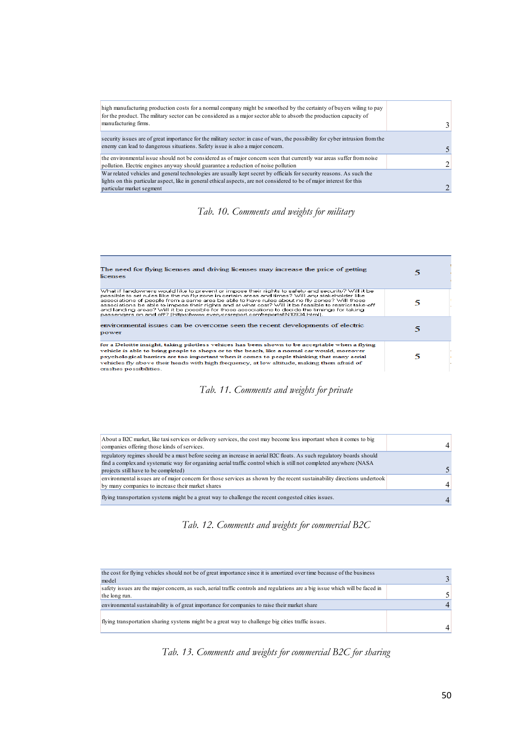| high manufacturing production costs for a normal company might be smoothed by the certainty of buyers wiling to pay<br>for the product. The military sector can be considered as a major sector able to absorb the production capacity of |  |
|-------------------------------------------------------------------------------------------------------------------------------------------------------------------------------------------------------------------------------------------|--|
| manufacturing firms.                                                                                                                                                                                                                      |  |
| security issues are of great importance for the military sector: in case of wars, the possibility for cyber intrusion from the                                                                                                            |  |
| enemy can lead to dangerous situations. Safety issue is also a major concern.                                                                                                                                                             |  |
| the environmental issue should not be considered as of major concern seen that currently war areas suffer from noise                                                                                                                      |  |
| pollution. Electric engines anyway should guarantee a reduction of noise pollution                                                                                                                                                        |  |
| War related vehicles and general technologies are usually kept secret by officials for security reasons. As such the                                                                                                                      |  |
| lights on this particular aspect, like in general ethical aspects, are not considered to be of major interest for this                                                                                                                    |  |
| particular market segment                                                                                                                                                                                                                 |  |



| The need for flying licenses and driving licenses may increase the price of getting<br>licenses                                                                                                                                                                                                                                                                                                                                                                                                                                                                                                     |  |
|-----------------------------------------------------------------------------------------------------------------------------------------------------------------------------------------------------------------------------------------------------------------------------------------------------------------------------------------------------------------------------------------------------------------------------------------------------------------------------------------------------------------------------------------------------------------------------------------------------|--|
| What if landowners would like to prevent or impose their rights to safety and security? Will it be<br>possible to set rules like the no fly zone in certain areas and times? Will any stakeholder like<br>associations of people from a same area be able to have rules about no fly zones? Will those<br>associations be able to impose their rights and at what cost? Will it be feasible to restrict take-off<br>and landing areas? Will it be possible for those associations to decide the timings for taking<br>passengers on and off? (https://www.everycrsreport.com/reports/IN10934.html). |  |
| environmental issues can be overcome seen the recent developments of electric<br>power                                                                                                                                                                                                                                                                                                                                                                                                                                                                                                              |  |
| for a Deloitte insight, taking pilotless vehices has been shown to be acceptable when a flying<br>vehicle is able to bring people to shops or to the beach, like a normal car would, moreover<br>psychological barriers are too important when it comes to people thinking that many aerial<br>vehicles fly above their heads with high frequency, at low altitude, making them afraid of<br>crashes possibilities.                                                                                                                                                                                 |  |

### *Tab. 11. Comments and weights for private*

| About a B2C market, like taxi services or delivery services, the cost may become less important when it comes to big<br>companies offering those kinds of services. |  |
|---------------------------------------------------------------------------------------------------------------------------------------------------------------------|--|
| regulatory regimes should be a must before seeing an increase in aerial B2C floats. As such regulatory boards should                                                |  |
| find a complex and systematic way for organizing aerial traffic control which is still not completed anywhere (NASA)                                                |  |
| projects still have to be completed)                                                                                                                                |  |
| environmental issues are of major concern for those services as shown by the recent sustainability directions undertook                                             |  |
| by many companies to increase their market shares                                                                                                                   |  |
| flying transportation systems might be a great way to challenge the recent congested cities issues.                                                                 |  |

## *Tab. 12. Comments and weights for commercial B2C*

| the cost for flying vehicles should not be of great importance since it is amortized over time because of the business       |  |
|------------------------------------------------------------------------------------------------------------------------------|--|
| model                                                                                                                        |  |
| safety issues are the major concern, as such, aerial traffic controls and regulations are a big issue which will be faced in |  |
| the long run.                                                                                                                |  |
| environmental sustainability is of great importance for companies to raise their market share                                |  |
| flying transportation sharing systems might be a great way to challenge big cities traffic issues.                           |  |

## *Tab. 13. Comments and weights for commercial B2C for sharing*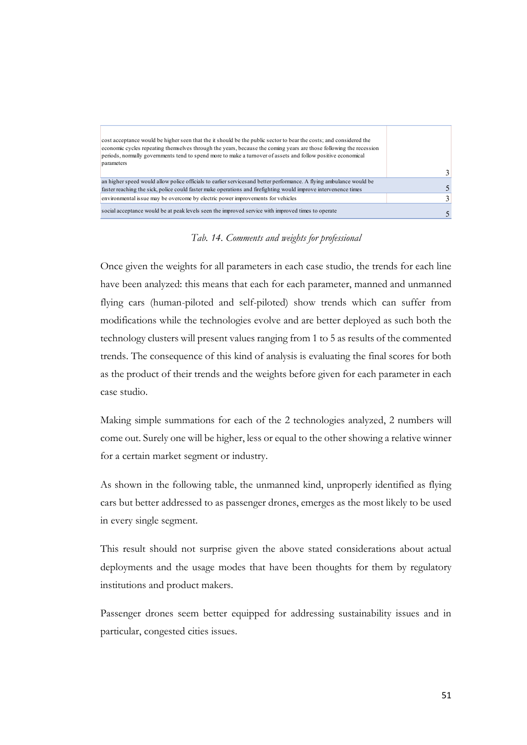| cost acceptance would be higher seen that the it should be the public sector to bear the costs; and considered the<br>economic cycles repeating themselves through the years, because the coming years are those following the recession<br>periods, normally governments tend to spend more to make a turnover of assets and follow positive economical<br>parameters |  |
|------------------------------------------------------------------------------------------------------------------------------------------------------------------------------------------------------------------------------------------------------------------------------------------------------------------------------------------------------------------------|--|
|                                                                                                                                                                                                                                                                                                                                                                        |  |
| an higher speed would allow police officials to earlier services and better performance. A flying ambulance would be<br>faster reaching the sick, police could faster make operations and firefighting would improve intervenence times                                                                                                                                |  |
| environmental issue may be overcome by electric power improvements for vehicles                                                                                                                                                                                                                                                                                        |  |
| social acceptance would be at peak levels seen the improved service with improved times to operate                                                                                                                                                                                                                                                                     |  |

*Tab. 14. Comments and weights for professional*

Once given the weights for all parameters in each case studio, the trends for each line have been analyzed: this means that each for each parameter, manned and unmanned flying cars (human-piloted and self-piloted) show trends which can suffer from modifications while the technologies evolve and are better deployed as such both the technology clusters will present values ranging from 1 to 5 as results of the commented trends. The consequence of this kind of analysis is evaluating the final scores for both as the product of their trends and the weights before given for each parameter in each case studio.

Making simple summations for each of the 2 technologies analyzed, 2 numbers will come out. Surely one will be higher, less or equal to the other showing a relative winner for a certain market segment or industry.

As shown in the following table, the unmanned kind, unproperly identified as flying cars but better addressed to as passenger drones, emerges as the most likely to be used in every single segment.

This result should not surprise given the above stated considerations about actual deployments and the usage modes that have been thoughts for them by regulatory institutions and product makers.

Passenger drones seem better equipped for addressing sustainability issues and in particular, congested cities issues.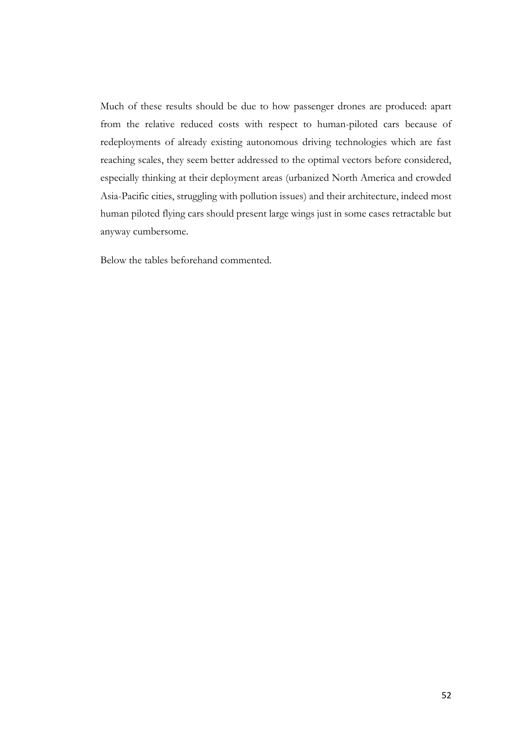Much of these results should be due to how passenger drones are produced: apart from the relative reduced costs with respect to human-piloted cars because of redeployments of already existing autonomous driving technologies which are fast reaching scales, they seem better addressed to the optimal vectors before considered, especially thinking at their deployment areas (urbanized North America and crowded Asia-Pacific cities, struggling with pollution issues) and their architecture, indeed most human piloted flying cars should present large wings just in some cases retractable but anyway cumbersome.

Below the tables beforehand commented.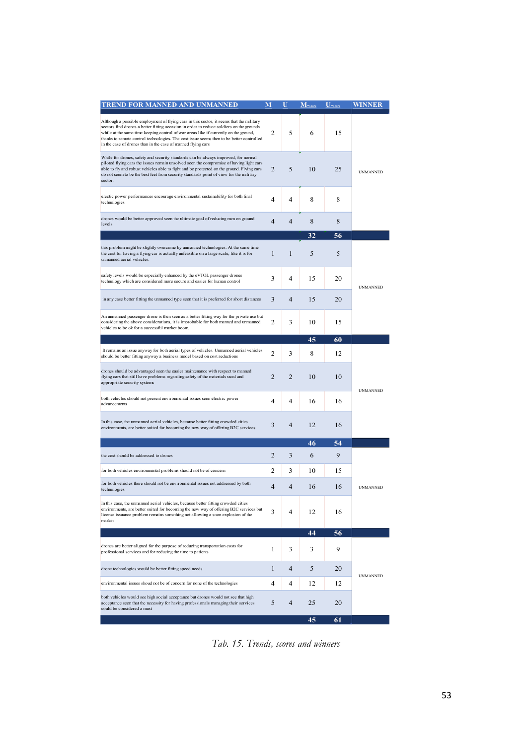| <b>TREND FOR MANNED AND UNMANNED</b>                                                                                                                                                                                                                                                                                                                                                                                                     | M              |                | $M$ -score | $\overline{U}$ – score | WINNER          |
|------------------------------------------------------------------------------------------------------------------------------------------------------------------------------------------------------------------------------------------------------------------------------------------------------------------------------------------------------------------------------------------------------------------------------------------|----------------|----------------|------------|------------------------|-----------------|
| Although a possible employment of flying cars in this sector, it seems that the military<br>sectors find drones a better fitting occasion in order to reduce soldiers on the grounds<br>while at the same time keeping control of war areas like if currently on the ground,<br>thanks to remote control technologies. The cost issue seems then to be better controlled<br>in the case of drones than in the case of manned flying cars | 2              | 5              | 6          | 15                     |                 |
| While for drones, safety and security standards can be always improved, for normal<br>piloted flying cars the issues remain unsolved seen the compromise of having light cars<br>able to fly and robust vehicles able to fight and be protected on the ground. Flying cars<br>do not seem to be the best feet from security standards point of view for the military<br>sector.                                                          | 2              | 5              | 10         | 25                     | <b>UNMANNED</b> |
| electic power performances encourage environmental sustainability for both final<br>technologies                                                                                                                                                                                                                                                                                                                                         | 4              | 4              | 8          | 8                      |                 |
| drones would be better approved seen the ultimate goal of reducing men on ground<br>levels                                                                                                                                                                                                                                                                                                                                               | 4              | $\overline{4}$ | 8          | 8                      |                 |
|                                                                                                                                                                                                                                                                                                                                                                                                                                          |                |                | 32         | 56                     |                 |
| this problem might be slightly overcome by unmanned technologies. At the same time<br>the cost for having a flying car is actually unfeasible on a large scale, like it is for<br>unmanned aerial vehicles.                                                                                                                                                                                                                              | $\mathbf{1}$   | $\mathbf{1}$   | 5          | 5                      |                 |
| safety levels would be especially enhanced by the eVTOL passenger drones<br>technology which are considered more secure and easier for human control                                                                                                                                                                                                                                                                                     | 3              | 4              | 15         | 20                     | <b>UNMANNED</b> |
| in any case better fitting the unmanned type seen that it is preferred for short distances                                                                                                                                                                                                                                                                                                                                               | 3              | 4              | 15         | 20                     |                 |
| An unmanned passenger drone is then seen as a better fitting way for the private use but<br>considering the above considerations, it is improbable for both manned and unmanned<br>vehicles to be ok for a successful market boom.                                                                                                                                                                                                       | 2              | 3              | 10         | 15                     |                 |
|                                                                                                                                                                                                                                                                                                                                                                                                                                          |                |                | 45         | 60                     |                 |
| It remains an issue anyway for both aerial types of vehicles. Unmanned aerial vehicles<br>should be better fitting anyway a business model based on cost reductions                                                                                                                                                                                                                                                                      | 2              | 3              | 8          | 12                     |                 |
| drones should be advantaged seen the easier maintenance with respect to manned<br>flying cars that still have problems regarding safety of the materials used and<br>appropriate security systems                                                                                                                                                                                                                                        | 2              | 2              | 10         | 10                     | <b>UNMANNED</b> |
| both vehicles should not present environmental issues seen electric power<br>advancements                                                                                                                                                                                                                                                                                                                                                | 4              | 4              | 16         | 16                     |                 |
| In this case, the unmanned aerial vehicles, because better fitting crowded cities<br>environments, are better suited for becoming the new way of offering B2C services                                                                                                                                                                                                                                                                   | 3              | 4              | 12         | 16                     |                 |
|                                                                                                                                                                                                                                                                                                                                                                                                                                          |                |                | 46         | 54                     |                 |
| the cost should be addressed to drones                                                                                                                                                                                                                                                                                                                                                                                                   | 2              | 3              | 6          | 9                      |                 |
| for both vehicles environmental problems should not be of concern                                                                                                                                                                                                                                                                                                                                                                        | 2              | 3              | 10         | 15                     |                 |
| for both vehicles there should not be environmental issues not addressed by both<br>technologies                                                                                                                                                                                                                                                                                                                                         | $\overline{4}$ | $\overline{4}$ | 16         | 16                     | <b>UNMANNED</b> |
| In this case, the unmanned aerial vehicles, because better fitting crowded cities<br>environments, are better suited for becoming the new way of offering B2C services but<br>license issuance problem remains something not allowing a soon explosion of the<br>market                                                                                                                                                                  | 3              | 4              | 12         | 16                     |                 |
|                                                                                                                                                                                                                                                                                                                                                                                                                                          |                |                | 44         | 56                     |                 |
| drones are better aligned for the purpose of reducing transportation costs for<br>professional services and for reducing the time to patients                                                                                                                                                                                                                                                                                            | 1              | 3              | 3          | 9                      |                 |
| drone technologies would be better fitting speed needs                                                                                                                                                                                                                                                                                                                                                                                   | 1              | 4              | 5          | 20                     | <b>UNMANNED</b> |
| environmental issues shoud not be of concern for none of the technologies                                                                                                                                                                                                                                                                                                                                                                | 4              | 4              | 12         | 12                     |                 |
| both vehicles would see high social acceptance but drones would not see that high<br>acceptance seen that the necessity for having professionals managing their services<br>could be considered a must                                                                                                                                                                                                                                   | 5              | 4              | 25         | 20                     |                 |
|                                                                                                                                                                                                                                                                                                                                                                                                                                          |                |                | 45         | 61                     |                 |

*Tab. 15. Trends, scores and winners*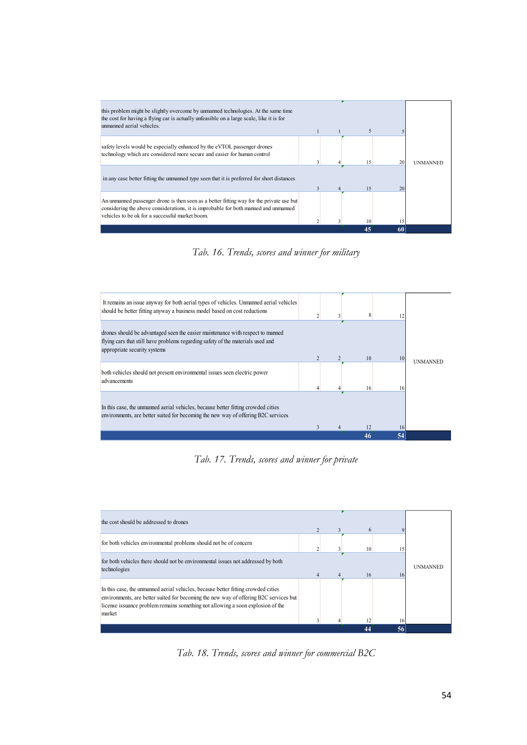

*Tab. 16. Trends, scores and winner for military*



*Tab. 17. Trends, scores and winner for private*



*Tab. 18. Trends, scores and winner for commercial B2C*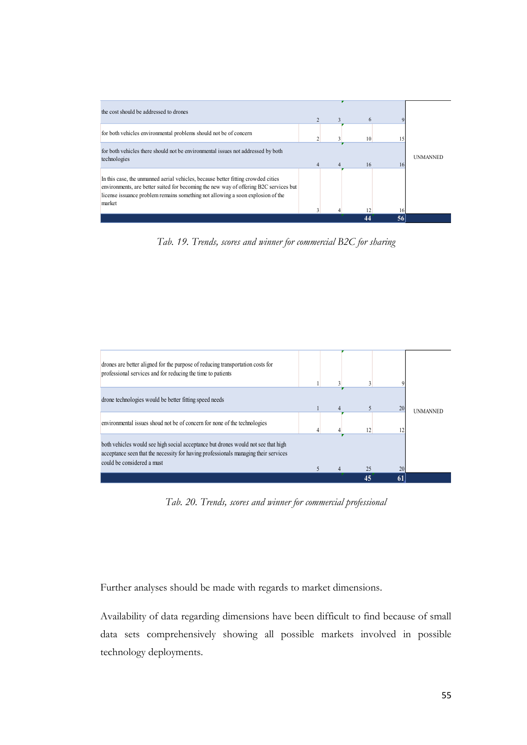

*Tab. 19. Trends, scores and winner for commercial B2C for sharing*



*Tab. 20. Trends, scores and winner for commercial professional*

Further analyses should be made with regards to market dimensions.

Availability of data regarding dimensions have been difficult to find because of small data sets comprehensively showing all possible markets involved in possible technology deployments.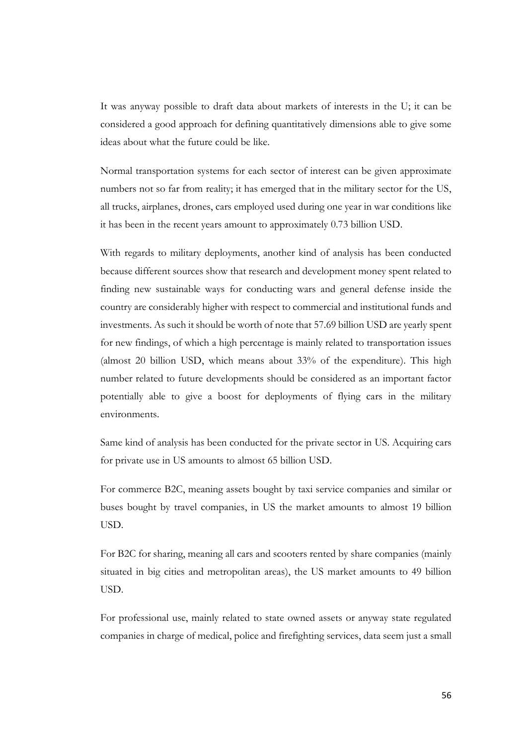It was anyway possible to draft data about markets of interests in the U; it can be considered a good approach for defining quantitatively dimensions able to give some ideas about what the future could be like.

Normal transportation systems for each sector of interest can be given approximate numbers not so far from reality; it has emerged that in the military sector for the US, all trucks, airplanes, drones, cars employed used during one year in war conditions like it has been in the recent years amount to approximately 0.73 billion USD.

With regards to military deployments, another kind of analysis has been conducted because different sources show that research and development money spent related to finding new sustainable ways for conducting wars and general defense inside the country are considerably higher with respect to commercial and institutional funds and investments. As such it should be worth of note that 57.69 billion USD are yearly spent for new findings, of which a high percentage is mainly related to transportation issues (almost 20 billion USD, which means about 33% of the expenditure). This high number related to future developments should be considered as an important factor potentially able to give a boost for deployments of flying cars in the military environments.

Same kind of analysis has been conducted for the private sector in US. Acquiring cars for private use in US amounts to almost 65 billion USD.

For commerce B2C, meaning assets bought by taxi service companies and similar or buses bought by travel companies, in US the market amounts to almost 19 billion USD.

For B2C for sharing, meaning all cars and scooters rented by share companies (mainly situated in big cities and metropolitan areas), the US market amounts to 49 billion USD.

For professional use, mainly related to state owned assets or anyway state regulated companies in charge of medical, police and firefighting services, data seem just a small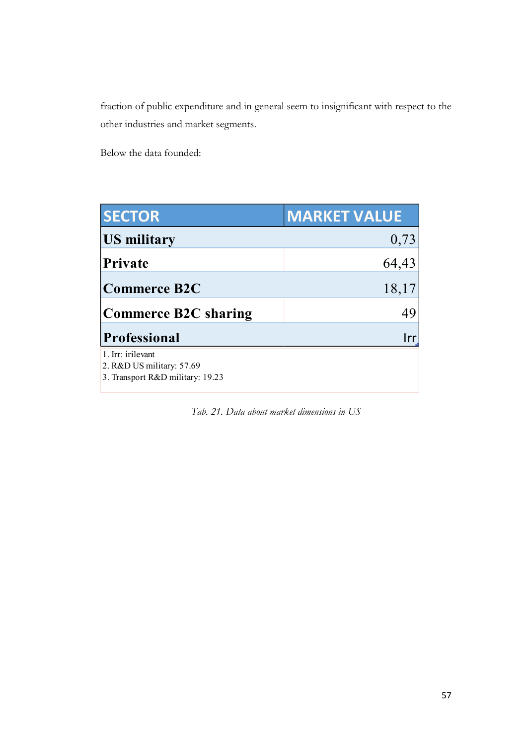fraction of public expenditure and in general seem to insignificant with respect to the other industries and market segments.

Below the data founded:

| <b>SECTOR</b>                                                                      | <b>MARKET VALUE</b> |
|------------------------------------------------------------------------------------|---------------------|
| <b>US military</b>                                                                 | 0,73                |
| Private                                                                            | 64,43               |
| <b>Commerce B2C</b>                                                                | 18,17               |
| <b>Commerce B2C sharing</b>                                                        | 49                  |
| <b>Professional</b>                                                                | Irr                 |
| 1. Irr: irilevant<br>2. R&D US military: 57.69<br>3. Transport R&D military: 19.23 |                     |
|                                                                                    |                     |

*Tab. 21. Data about market dimensions in US*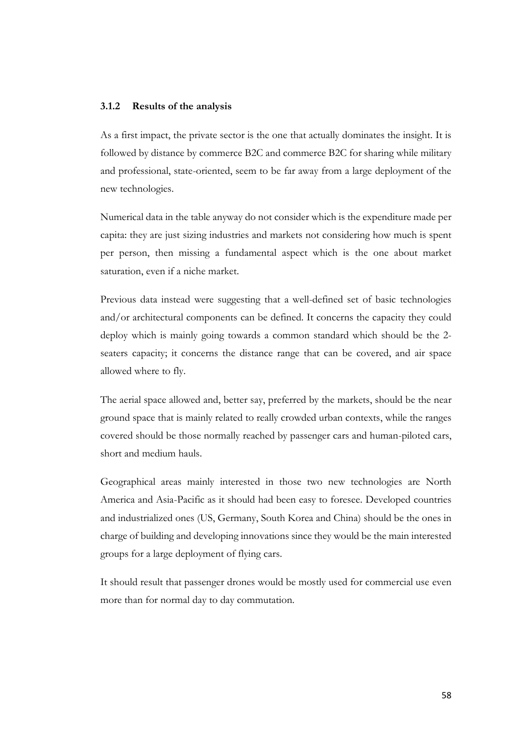#### <span id="page-57-0"></span>**3.1.2 Results of the analysis**

As a first impact, the private sector is the one that actually dominates the insight. It is followed by distance by commerce B2C and commerce B2C for sharing while military and professional, state-oriented, seem to be far away from a large deployment of the new technologies.

Numerical data in the table anyway do not consider which is the expenditure made per capita: they are just sizing industries and markets not considering how much is spent per person, then missing a fundamental aspect which is the one about market saturation, even if a niche market.

Previous data instead were suggesting that a well-defined set of basic technologies and/or architectural components can be defined. It concerns the capacity they could deploy which is mainly going towards a common standard which should be the 2 seaters capacity; it concerns the distance range that can be covered, and air space allowed where to fly.

The aerial space allowed and, better say, preferred by the markets, should be the near ground space that is mainly related to really crowded urban contexts, while the ranges covered should be those normally reached by passenger cars and human-piloted cars, short and medium hauls.

Geographical areas mainly interested in those two new technologies are North America and Asia-Pacific as it should had been easy to foresee. Developed countries and industrialized ones (US, Germany, South Korea and China) should be the ones in charge of building and developing innovations since they would be the main interested groups for a large deployment of flying cars.

It should result that passenger drones would be mostly used for commercial use even more than for normal day to day commutation.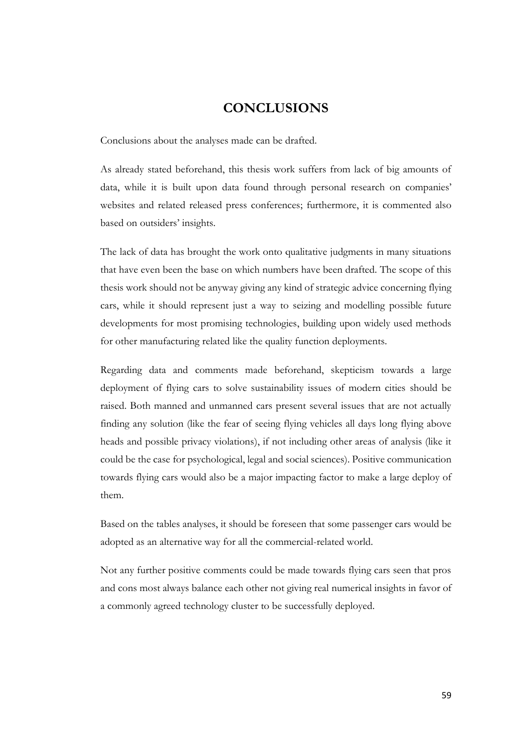## **CONCLUSIONS**

<span id="page-58-0"></span>Conclusions about the analyses made can be drafted.

As already stated beforehand, this thesis work suffers from lack of big amounts of data, while it is built upon data found through personal research on companies' websites and related released press conferences; furthermore, it is commented also based on outsiders' insights.

The lack of data has brought the work onto qualitative judgments in many situations that have even been the base on which numbers have been drafted. The scope of this thesis work should not be anyway giving any kind of strategic advice concerning flying cars, while it should represent just a way to seizing and modelling possible future developments for most promising technologies, building upon widely used methods for other manufacturing related like the quality function deployments.

Regarding data and comments made beforehand, skepticism towards a large deployment of flying cars to solve sustainability issues of modern cities should be raised. Both manned and unmanned cars present several issues that are not actually finding any solution (like the fear of seeing flying vehicles all days long flying above heads and possible privacy violations), if not including other areas of analysis (like it could be the case for psychological, legal and social sciences). Positive communication towards flying cars would also be a major impacting factor to make a large deploy of them.

Based on the tables analyses, it should be foreseen that some passenger cars would be adopted as an alternative way for all the commercial-related world.

Not any further positive comments could be made towards flying cars seen that pros and cons most always balance each other not giving real numerical insights in favor of a commonly agreed technology cluster to be successfully deployed.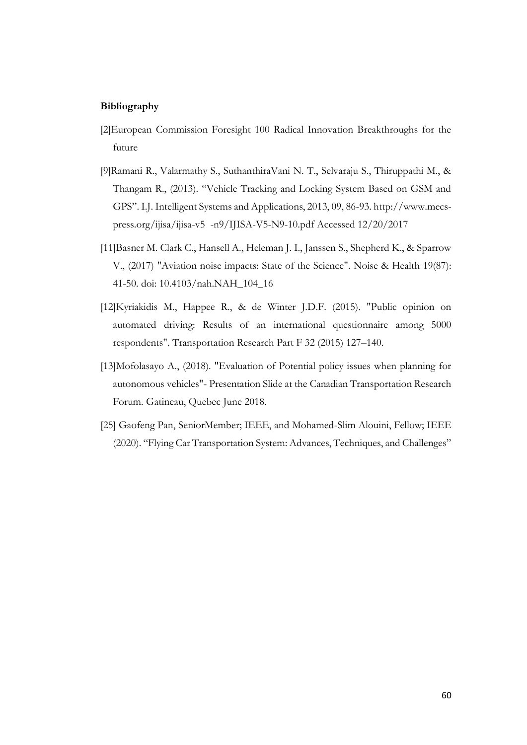#### <span id="page-59-0"></span>**Bibliography**

- [2]European Commission Foresight 100 Radical Innovation Breakthroughs for the future
- [9]Ramani R., Valarmathy S., SuthanthiraVani N. T., Selvaraju S., Thiruppathi M., & Thangam R., (2013). "Vehicle Tracking and Locking System Based on GSM and GPS". I.J. Intelligent Systems and Applications, 2013, 09, 86-93. http://www.mecspress.org/ijisa/ijisa-v5 -n9/IJISA-V5-N9-10.pdf Accessed 12/20/2017
- [11]Basner M. Clark C., Hansell A., Heleman J. I., Janssen S., Shepherd K., & Sparrow V., (2017) "Aviation noise impacts: State of the Science". Noise & Health 19(87): 41-50. doi: 10.4103/nah.NAH\_104\_16
- [12]Kyriakidis M., Happee R., & de Winter J.D.F. (2015). "Public opinion on automated driving: Results of an international questionnaire among 5000 respondents". Transportation Research Part F 32 (2015) 127–140.
- [13]Mofolasayo A., (2018). "Evaluation of Potential policy issues when planning for autonomous vehicles"- Presentation Slide at the Canadian Transportation Research Forum. Gatineau, Quebec June 2018.
- [25] Gaofeng Pan, SeniorMember; IEEE, and Mohamed-Slim Alouini, Fellow; IEEE (2020). "Flying Car Transportation System: Advances, Techniques, and Challenges"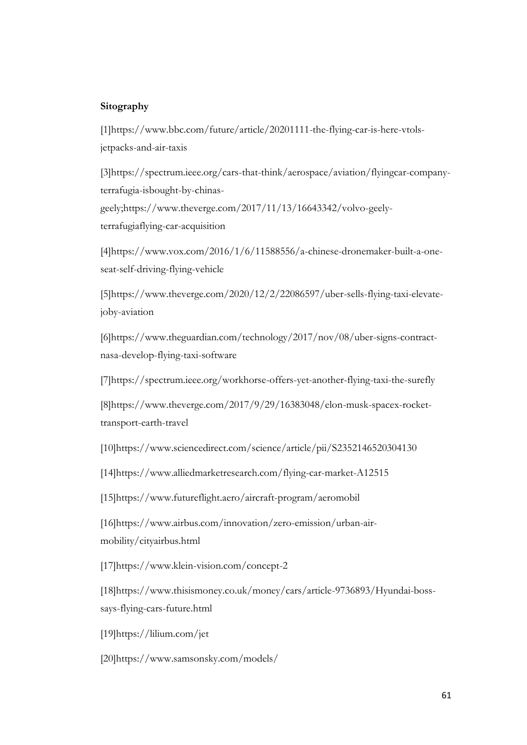#### <span id="page-60-0"></span>**Sitography**

[1[\]https://www.bbc.com/future/article/20201111-the-flying-car-is-here-vtols](https://www.bbc.com/future/article/20201111-the-flying-car-is-here-vtols-jetpacks-and-air-taxis)[jetpacks-and-air-taxis](https://www.bbc.com/future/article/20201111-the-flying-car-is-here-vtols-jetpacks-and-air-taxis)

[3[\]https://spectrum.ieee.org/cars-that-think/aerospace/aviation/flyingcar-company](https://spectrum.ieee.org/cars-that-think/aerospace/aviation/flyingcar-company-terrafugia-isbought-by-chinas-geely;https:/www.theverge.com/2017/11/13/16643342/volvo-geely-terrafugiaflying-car-acquisition)[terrafugia-isbought-by-chinas](https://spectrum.ieee.org/cars-that-think/aerospace/aviation/flyingcar-company-terrafugia-isbought-by-chinas-geely;https:/www.theverge.com/2017/11/13/16643342/volvo-geely-terrafugiaflying-car-acquisition)[geely;https://www.theverge.com/2017/11/13/16643342/volvo-geely](https://spectrum.ieee.org/cars-that-think/aerospace/aviation/flyingcar-company-terrafugia-isbought-by-chinas-geely;https:/www.theverge.com/2017/11/13/16643342/volvo-geely-terrafugiaflying-car-acquisition)[terrafugiaflying-car-acquisition](https://spectrum.ieee.org/cars-that-think/aerospace/aviation/flyingcar-company-terrafugia-isbought-by-chinas-geely;https:/www.theverge.com/2017/11/13/16643342/volvo-geely-terrafugiaflying-car-acquisition)

[4[\]https://www.vox.com/2016/1/6/11588556/a-chinese-dronemaker-built-a-one](https://www.vox.com/2016/1/6/11588556/a-chinese-dronemaker-built-a-one-seat-self-driving-flying-vehicle)[seat-self-driving-flying-vehicle](https://www.vox.com/2016/1/6/11588556/a-chinese-dronemaker-built-a-one-seat-self-driving-flying-vehicle)

[5[\]https://www.theverge.com/2020/12/2/22086597/uber-sells-flying-taxi-elevate](https://www.theverge.com/2020/12/2/22086597/uber-sells-flying-taxi-elevate-joby-aviation)[joby-aviation](https://www.theverge.com/2020/12/2/22086597/uber-sells-flying-taxi-elevate-joby-aviation)

[6[\]https://www.theguardian.com/technology/2017/nov/08/uber-signs-contract](https://www.theguardian.com/technology/2017/nov/08/uber-signs-contract-nasa-develop-flying-taxi-software)[nasa-develop-flying-taxi-software](https://www.theguardian.com/technology/2017/nov/08/uber-signs-contract-nasa-develop-flying-taxi-software)

[7[\]https://spectrum.ieee.org/workhorse-offers-yet-another-flying-taxi-the-surefly](https://spectrum.ieee.org/workhorse-offers-yet-another-flying-taxi-the-surefly)

[8[\]https://www.theverge.com/2017/9/29/16383048/elon-musk-spacex-rocket](https://www.theverge.com/2017/9/29/16383048/elon-musk-spacex-rocket-transport-earth-travel)[transport-earth-travel](https://www.theverge.com/2017/9/29/16383048/elon-musk-spacex-rocket-transport-earth-travel)

[10[\]https://www.sciencedirect.com/science/article/pii/S2352146520304130](https://www.sciencedirect.com/science/article/pii/S2352146520304130)

[14[\]https://www.alliedmarketresearch.com/flying-car-market-A12515](https://www.alliedmarketresearch.com/flying-car-market-A12515)

[15[\]https://www.futureflight.aero/aircraft-program/aeromobil](https://www.futureflight.aero/aircraft-program/aeromobil)

[16[\]https://www.airbus.com/innovation/zero-emission/urban-air](https://www.airbus.com/innovation/zero-emission/urban-air-mobility/cityairbus.html)[mobility/cityairbus.html](https://www.airbus.com/innovation/zero-emission/urban-air-mobility/cityairbus.html)

[17]https://www.klein-vision.com/concept-2

[18[\]https://www.thisismoney.co.uk/money/cars/article-9736893/Hyundai-boss](https://www.thisismoney.co.uk/money/cars/article-9736893/Hyundai-boss-says-flying-cars-future.html)[says-flying-cars-future.html](https://www.thisismoney.co.uk/money/cars/article-9736893/Hyundai-boss-says-flying-cars-future.html)

[19[\]https://lilium.com/jet](https://lilium.com/jet)

[20[\]https://www.samsonsky.com/models/](https://www.samsonsky.com/models/)